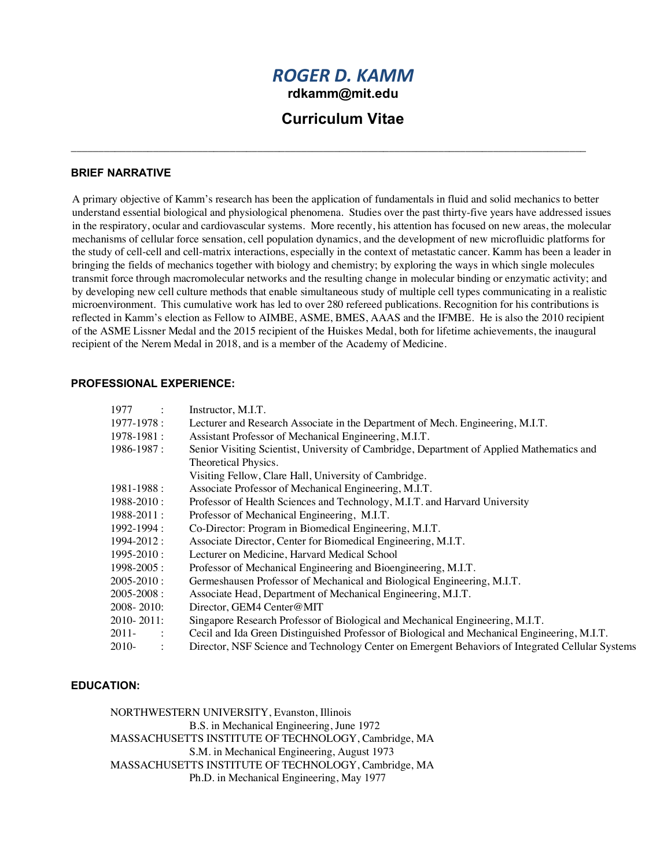# *ROGER D. KAMM*

**rdkamm@mit.edu**

## **Curriculum Vitae**

 $\_$  ,  $\_$  ,  $\_$  ,  $\_$  ,  $\_$  ,  $\_$  ,  $\_$  ,  $\_$  ,  $\_$  ,  $\_$  ,  $\_$  ,  $\_$  ,  $\_$  ,  $\_$  ,  $\_$  ,  $\_$  ,  $\_$  ,  $\_$  ,  $\_$  ,  $\_$  ,  $\_$  ,  $\_$  ,  $\_$  ,  $\_$  ,  $\_$  ,  $\_$  ,  $\_$  ,  $\_$  ,  $\_$  ,  $\_$  ,  $\_$  ,  $\_$  ,  $\_$  ,  $\_$  ,  $\_$  ,  $\_$  ,  $\_$  ,

## **BRIEF NARRATIVE**

A primary objective of Kamm's research has been the application of fundamentals in fluid and solid mechanics to better understand essential biological and physiological phenomena. Studies over the past thirty-five years have addressed issues in the respiratory, ocular and cardiovascular systems. More recently, his attention has focused on new areas, the molecular mechanisms of cellular force sensation, cell population dynamics, and the development of new microfluidic platforms for the study of cell-cell and cell-matrix interactions, especially in the context of metastatic cancer. Kamm has been a leader in bringing the fields of mechanics together with biology and chemistry; by exploring the ways in which single molecules transmit force through macromolecular networks and the resulting change in molecular binding or enzymatic activity; and by developing new cell culture methods that enable simultaneous study of multiple cell types communicating in a realistic microenvironment. This cumulative work has led to over 280 refereed publications. Recognition for his contributions is reflected in Kamm's election as Fellow to AIMBE, ASME, BMES, AAAS and the IFMBE. He is also the 2010 recipient of the ASME Lissner Medal and the 2015 recipient of the Huiskes Medal, both for lifetime achievements, the inaugural recipient of the Nerem Medal in 2018, and is a member of the Academy of Medicine.

## **PROFESSIONAL EXPERIENCE:**

| 1977<br>$\ddot{\phantom{a}}$ | Instructor, M.I.T.                                                                               |
|------------------------------|--------------------------------------------------------------------------------------------------|
| $1977 - 1978:$               | Lecturer and Research Associate in the Department of Mech. Engineering, M.I.T.                   |
| $1978 - 1981$ :              | Assistant Professor of Mechanical Engineering, M.I.T.                                            |
| $1986 - 1987:$               | Senior Visiting Scientist, University of Cambridge, Department of Applied Mathematics and        |
|                              | Theoretical Physics.                                                                             |
|                              | Visiting Fellow, Clare Hall, University of Cambridge.                                            |
| $1981 - 1988:$               | Associate Professor of Mechanical Engineering, M.I.T.                                            |
| $1988 - 2010$ :              | Professor of Health Sciences and Technology, M.I.T. and Harvard University                       |
| $1988 - 2011$ :              | Professor of Mechanical Engineering, M.I.T.                                                      |
| 1992-1994 :                  | Co-Director: Program in Biomedical Engineering, M.I.T.                                           |
| $1994 - 2012$ :              | Associate Director, Center for Biomedical Engineering, M.I.T.                                    |
| $1995 - 2010$ :              | Lecturer on Medicine, Harvard Medical School                                                     |
| $1998 - 2005$ :              | Professor of Mechanical Engineering and Bioengineering, M.I.T.                                   |
| $2005 - 2010$ :              | Germeshausen Professor of Mechanical and Biological Engineering, M.I.T.                          |
| $2005 - 2008$ :              | Associate Head, Department of Mechanical Engineering, M.I.T.                                     |
| 2008-2010:                   | Director, GEM4 Center@MIT                                                                        |
| 2010-2011:                   | Singapore Research Professor of Biological and Mechanical Engineering, M.I.T.                    |
| $2011 -$<br>$\ddot{\cdot}$   | Cecil and Ida Green Distinguished Professor of Biological and Mechanical Engineering, M.I.T.     |
| $2010-$                      | Director, NSF Science and Technology Center on Emergent Behaviors of Integrated Cellular Systems |

## **EDUCATION:**

NORTHWESTERN UNIVERSITY, Evanston, Illinois B.S. in Mechanical Engineering, June 1972 MASSACHUSETTS INSTITUTE OF TECHNOLOGY, Cambridge, MA S.M. in Mechanical Engineering, August 1973 MASSACHUSETTS INSTITUTE OF TECHNOLOGY, Cambridge, MA Ph.D. in Mechanical Engineering, May 1977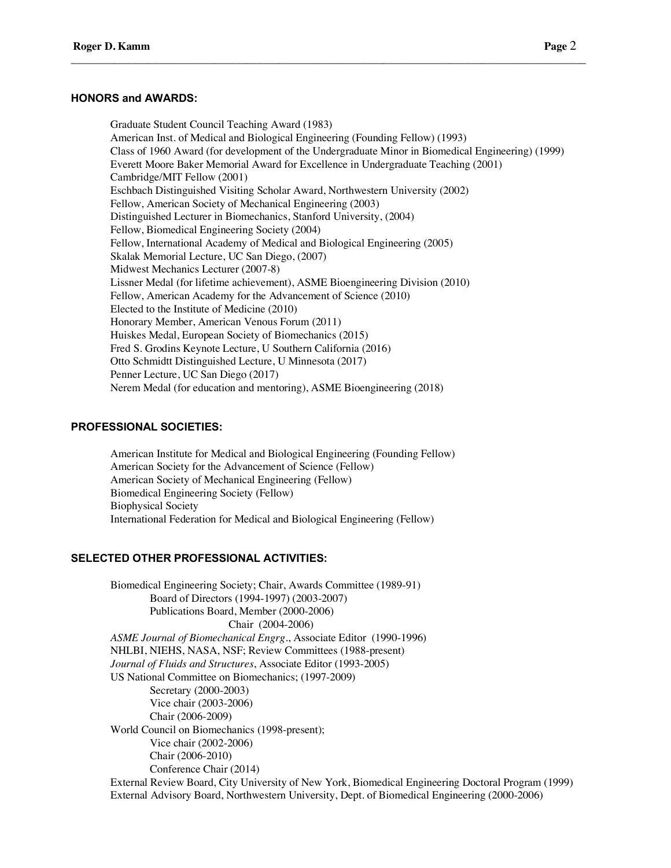#### **HONORS and AWARDS:**

Graduate Student Council Teaching Award (1983) American Inst. of Medical and Biological Engineering (Founding Fellow) (1993) Class of 1960 Award (for development of the Undergraduate Minor in Biomedical Engineering) (1999) Everett Moore Baker Memorial Award for Excellence in Undergraduate Teaching (2001) Cambridge/MIT Fellow (2001) Eschbach Distinguished Visiting Scholar Award, Northwestern University (2002) Fellow, American Society of Mechanical Engineering (2003) Distinguished Lecturer in Biomechanics, Stanford University, (2004) Fellow, Biomedical Engineering Society (2004) Fellow, International Academy of Medical and Biological Engineering (2005) Skalak Memorial Lecture, UC San Diego, (2007) Midwest Mechanics Lecturer (2007-8) Lissner Medal (for lifetime achievement), ASME Bioengineering Division (2010) Fellow, American Academy for the Advancement of Science (2010) Elected to the Institute of Medicine (2010) Honorary Member, American Venous Forum (2011) Huiskes Medal, European Society of Biomechanics (2015) Fred S. Grodins Keynote Lecture, U Southern California (2016) Otto Schmidtt Distinguished Lecture, U Minnesota (2017) Penner Lecture, UC San Diego (2017) Nerem Medal (for education and mentoring), ASME Bioengineering (2018)

 $\_$  ,  $\_$  ,  $\_$  ,  $\_$  ,  $\_$  ,  $\_$  ,  $\_$  ,  $\_$  ,  $\_$  ,  $\_$  ,  $\_$  ,  $\_$  ,  $\_$  ,  $\_$  ,  $\_$  ,  $\_$  ,  $\_$  ,  $\_$  ,  $\_$  ,  $\_$  ,  $\_$  ,  $\_$  ,  $\_$  ,  $\_$  ,  $\_$  ,  $\_$  ,  $\_$  ,  $\_$  ,  $\_$  ,  $\_$  ,  $\_$  ,  $\_$  ,  $\_$  ,  $\_$  ,  $\_$  ,  $\_$  ,  $\_$  ,

### **PROFESSIONAL SOCIETIES:**

American Institute for Medical and Biological Engineering (Founding Fellow) American Society for the Advancement of Science (Fellow) American Society of Mechanical Engineering (Fellow) Biomedical Engineering Society (Fellow) Biophysical Society International Federation for Medical and Biological Engineering (Fellow)

#### **SELECTED OTHER PROFESSIONAL ACTIVITIES:**

Biomedical Engineering Society; Chair, Awards Committee (1989-91) Board of Directors (1994-1997) (2003-2007) Publications Board, Member (2000-2006) Chair (2004-2006) *ASME Journal of Biomechanical Engrg*., Associate Editor (1990-1996) NHLBI, NIEHS, NASA, NSF; Review Committees (1988-present) *Journal of Fluids and Structures*, Associate Editor (1993-2005) US National Committee on Biomechanics; (1997-2009) Secretary (2000-2003) Vice chair (2003-2006) Chair (2006-2009) World Council on Biomechanics (1998-present); Vice chair (2002-2006) Chair (2006-2010) Conference Chair (2014) External Review Board, City University of New York, Biomedical Engineering Doctoral Program (1999)

External Advisory Board, Northwestern University, Dept. of Biomedical Engineering (2000-2006)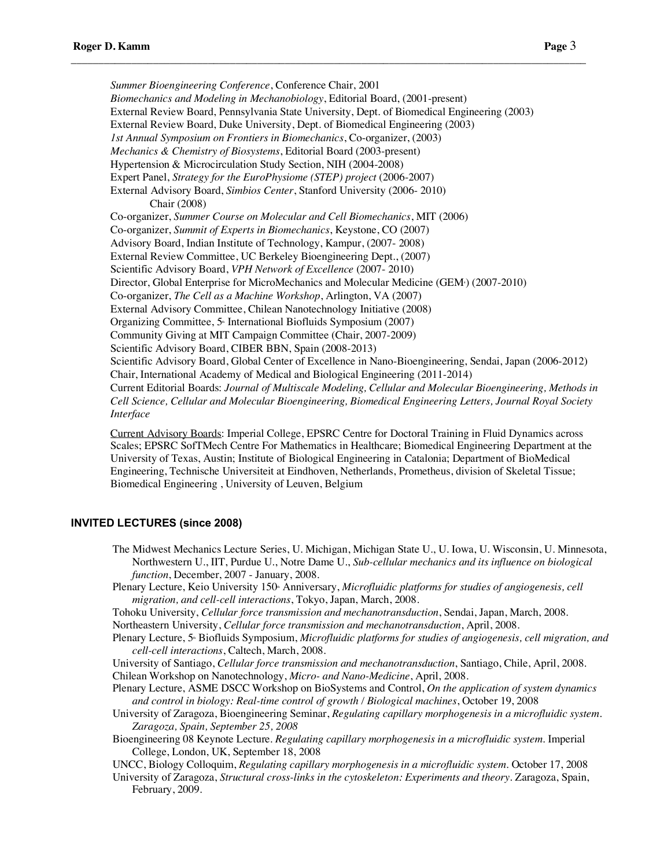*Summer Bioengineering Conference*, Conference Chair, 2001 *Biomechanics and Modeling in Mechanobiology*, Editorial Board, (2001-present) External Review Board, Pennsylvania State University, Dept. of Biomedical Engineering (2003) External Review Board, Duke University, Dept. of Biomedical Engineering (2003) *1st Annual Symposium on Frontiers in Biomechanics*, Co-organizer, (2003) *Mechanics & Chemistry of Biosystems*, Editorial Board (2003-present) Hypertension & Microcirculation Study Section, NIH (2004-2008) Expert Panel, *Strategy for the EuroPhysiome (STEP) project* (2006-2007) External Advisory Board, *Simbios Center*, Stanford University (2006- 2010) Chair (2008) Co-organizer, *Summer Course on Molecular and Cell Biomechanics*, MIT (2006) Co-organizer, *Summit of Experts in Biomechanics*, Keystone, CO (2007) Advisory Board, Indian Institute of Technology, Kampur, (2007- 2008) External Review Committee, UC Berkeley Bioengineering Dept., (2007) Scientific Advisory Board, *VPH Network of Excellence* (2007- 2010) Director, Global Enterprise for MicroMechanics and Molecular Medicine (GEM·) (2007-2010) Co-organizer, *The Cell as a Machine Workshop*, Arlington, VA (2007) External Advisory Committee, Chilean Nanotechnology Initiative (2008) Organizing Committee, 5<sup>\*</sup> International Biofluids Symposium (2007) Community Giving at MIT Campaign Committee (Chair, 2007-2009) Scientific Advisory Board, CIBER BBN, Spain (2008-2013) Scientific Advisory Board, Global Center of Excellence in Nano-Bioengineering, Sendai, Japan (2006-2012) Chair, International Academy of Medical and Biological Engineering (2011-2014) Current Editorial Boards: *Journal of Multiscale Modeling, Cellular and Molecular Bioengineering, Methods in Cell Science, Cellular and Molecular Bioengineering, Biomedical Engineering Letters, Journal Royal Society Interface*

 $\_$  ,  $\_$  ,  $\_$  ,  $\_$  ,  $\_$  ,  $\_$  ,  $\_$  ,  $\_$  ,  $\_$  ,  $\_$  ,  $\_$  ,  $\_$  ,  $\_$  ,  $\_$  ,  $\_$  ,  $\_$  ,  $\_$  ,  $\_$  ,  $\_$  ,  $\_$  ,  $\_$  ,  $\_$  ,  $\_$  ,  $\_$  ,  $\_$  ,  $\_$  ,  $\_$  ,  $\_$  ,  $\_$  ,  $\_$  ,  $\_$  ,  $\_$  ,  $\_$  ,  $\_$  ,  $\_$  ,  $\_$  ,  $\_$  ,

Current Advisory Boards: Imperial College, EPSRC Centre for Doctoral Training in Fluid Dynamics across Scales; EPSRC SofTMech Centre For Mathematics in Healthcare; Biomedical Engineering Department at the University of Texas, Austin; Institute of Biological Engineering in Catalonia; Department of BioMedical Engineering, Technische Universiteit at Eindhoven, Netherlands, Prometheus, division of Skeletal Tissue; Biomedical Engineering , University of Leuven, Belgium

## **INVITED LECTURES (since 2008)**

- The Midwest Mechanics Lecture Series, U. Michigan, Michigan State U., U. Iowa, U. Wisconsin, U. Minnesota, Northwestern U., IIT, Purdue U., Notre Dame U., *Sub-cellular mechanics and its influence on biological function*, December, 2007 - January, 2008.
- Plenary Lecture, Keio University 150<sup>th</sup> Anniversary, *Microfluidic platforms for studies of angiogenesis, cell and in migration, and cell-cell interactions*, Tokyo, Japan, March, 2008.
- Tohoku University, *Cellular force transmission and mechanotransduction*, Sendai, Japan, March, 2008.
- Northeastern University, *Cellular force transmission and mechanotransduction*, April, 2008.
- Plenary Lecture, 5<sup>\*</sup> Biofluids Symposium, *Microfluidic platforms for studies of angiogenesis, cell migration, and cell-cell interactions*, Caltech, March, 2008.
- University of Santiago, *Cellular force transmission and mechanotransduction*, Santiago, Chile, April, 2008. Chilean Workshop on Nanotechnology, *Micro- and Nano-Medicine*, April, 2008.
- Plenary Lecture, ASME DSCC Workshop on BioSystems and Control, *On the application of system dynamics and control in biology: Real-time control of growth / Biological machines*, October 19, 2008
- University of Zaragoza, Bioengineering Seminar, *Regulating capillary morphogenesis in a microfluidic system. Zaragoza, Spain, September 25, 2008*
- Bioengineering 08 Keynote Lecture. *Regulating capillary morphogenesis in a microfluidic system*. Imperial College, London, UK, September 18, 2008
- UNCC, Biology Colloquim, *Regulating capillary morphogenesis in a microfluidic system*. October 17, 2008
- University of Zaragoza, *Structural cross-links in the cytoskeleton: Experiments and theory*. Zaragoza, Spain, February, 2009.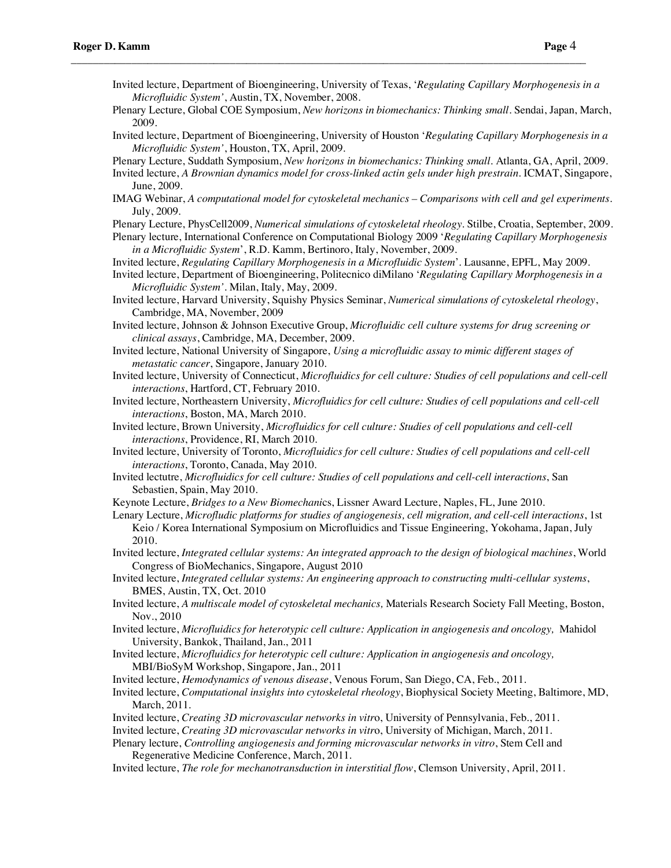Invited lecture, Department of Bioengineering, University of Texas, '*Regulating Capillary Morphogenesis in a Microfluidic System'*, Austin, TX, November, 2008.

 $\_$  ,  $\_$  ,  $\_$  ,  $\_$  ,  $\_$  ,  $\_$  ,  $\_$  ,  $\_$  ,  $\_$  ,  $\_$  ,  $\_$  ,  $\_$  ,  $\_$  ,  $\_$  ,  $\_$  ,  $\_$  ,  $\_$  ,  $\_$  ,  $\_$  ,  $\_$  ,  $\_$  ,  $\_$  ,  $\_$  ,  $\_$  ,  $\_$  ,  $\_$  ,  $\_$  ,  $\_$  ,  $\_$  ,  $\_$  ,  $\_$  ,  $\_$  ,  $\_$  ,  $\_$  ,  $\_$  ,  $\_$  ,  $\_$  ,

- Plenary Lecture, Global COE Symposium, *New horizons in biomechanics: Thinking small*. Sendai, Japan, March, 2009.
- Invited lecture, Department of Bioengineering, University of Houston '*Regulating Capillary Morphogenesis in a Microfluidic System'*, Houston, TX, April, 2009.

Plenary Lecture, Suddath Symposium, *New horizons in biomechanics: Thinking small*. Atlanta, GA, April, 2009.

- Invited lecture, *A Brownian dynamics model for cross-linked actin gels under high prestrain*. ICMAT, Singapore, June, 2009.
- IMAG Webinar, *A computational model for cytoskeletal mechanics – Comparisons with cell and gel experiments*. July, 2009.
- Plenary Lecture, PhysCell2009, *Numerical simulations of cytoskeletal rheology.* Stilbe, Croatia, September, 2009.
- Plenary lecture, International Conference on Computational Biology 2009 '*Regulating Capillary Morphogenesis in a Microfluidic System*', R.D. Kamm, Bertinoro, Italy, November, 2009.
- Invited lecture, *Regulating Capillary Morphogenesis in a Microfluidic System*'. Lausanne, EPFL, May 2009.
- Invited lecture, Department of Bioengineering, Politecnico diMilano '*Regulating Capillary Morphogenesis in a Microfluidic System'*. Milan, Italy, May, 2009.

Invited lecture, Harvard University, Squishy Physics Seminar, *Numerical simulations of cytoskeletal rheology*, Cambridge, MA, November, 2009

- Invited lecture, Johnson & Johnson Executive Group, *Microfluidic cell culture systems for drug screening or clinical assays*, Cambridge, MA, December, 2009.
- Invited lecture, National University of Singapore, *Using a microfluidic assay to mimic different stages of metastatic cancer*, Singapore, January 2010.
- Invited lecture, University of Connecticut, *Microfluidics for cell culture: Studies of cell populations and cell-cell interactions*, Hartford, CT, February 2010.
- Invited lecture, Northeastern University, *Microfluidics for cell culture: Studies of cell populations and cell-cell interactions*, Boston, MA, March 2010.
- Invited lecture, Brown University, *Microfluidics for cell culture: Studies of cell populations and cell-cell interactions*, Providence, RI, March 2010.

Invited lecture, University of Toronto, *Microfluidics for cell culture: Studies of cell populations and cell-cell interactions*, Toronto, Canada, May 2010.

- Invited lectutre, *Microfluidics for cell culture: Studies of cell populations and cell-cell interactions*, San Sebastien, Spain, May 2010.
- Keynote Lecture, *Bridges to a New Biomechani*cs, Lissner Award Lecture, Naples, FL, June 2010.
- Lenary Lecture, *Microfludic platforms for studies of angiogenesis, cell migration, and cell-cell interactions*, 1st Keio / Korea International Symposium on Microfluidics and Tissue Engineering, Yokohama, Japan, July 2010.
- Invited lecture, *Integrated cellular systems: An integrated approach to the design of biological machines*, World Congress of BioMechanics, Singapore, August 2010
- Invited lecture, *Integrated cellular systems: An engineering approach to constructing multi-cellular systems*, BMES, Austin, TX, Oct. 2010
- Invited lecture, *A multiscale model of cytoskeletal mechanics,* Materials Research Society Fall Meeting, Boston, Nov., 2010
- Invited lecture, *Microfluidics for heterotypic cell culture: Application in angiogenesis and oncology,* Mahidol University, Bankok, Thailand, Jan., 2011
- Invited lecture, *Microfluidics for heterotypic cell culture: Application in angiogenesis and oncology,*  MBI/BioSyM Workshop, Singapore, Jan., 2011

Invited lecture, *Hemodynamics of venous disease*, Venous Forum, San Diego, CA, Feb., 2011.

- Invited lecture, *Computational insights into cytoskeletal rheology*, Biophysical Society Meeting, Baltimore, MD, March, 2011.
- Invited lecture, *Creating 3D microvascular networks in vitr*o, University of Pennsylvania, Feb., 2011.
- Invited lecture, *Creating 3D microvascular networks in vitr*o, University of Michigan, March, 2011.

Plenary lecture, *Controlling angiogenesis and forming microvascular networks in vitro*, Stem Cell and Regenerative Medicine Conference, March, 2011.

Invited lecture, *The role for mechanotransduction in interstitial flow*, Clemson University, April, 2011.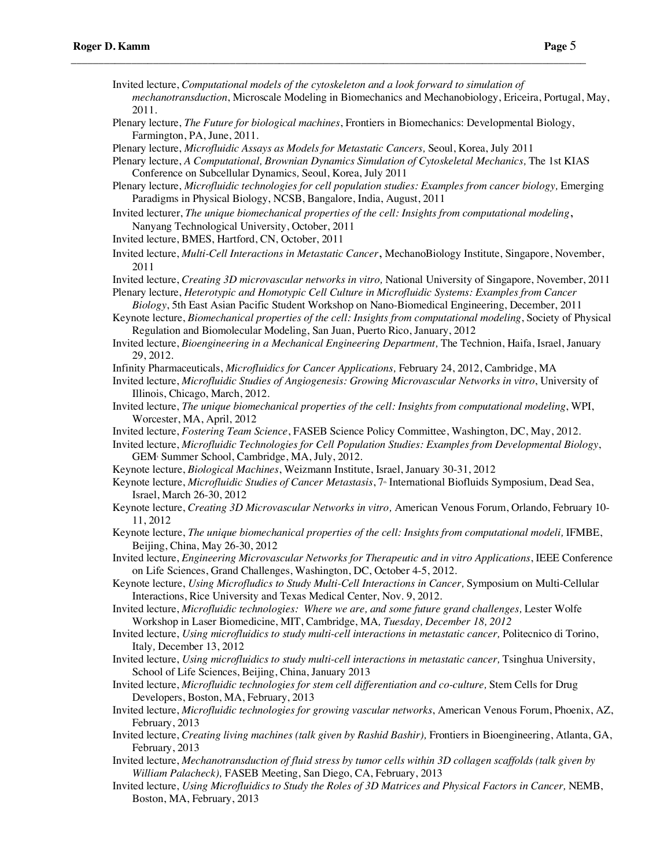- Invited lecture, *Computational models of the cytoskeleton and a look forward to simulation of mechanotransduction*, Microscale Modeling in Biomechanics and Mechanobiology, Ericeira, Portugal, May, 2011.
- Plenary lecture, *The Future for biological machines*, Frontiers in Biomechanics: Developmental Biology, Farmington, PA, June, 2011.

Plenary lecture, *Microfluidic Assays as Models for Metastatic Cancers,* Seoul, Korea, July 2011

 $\_$  ,  $\_$  ,  $\_$  ,  $\_$  ,  $\_$  ,  $\_$  ,  $\_$  ,  $\_$  ,  $\_$  ,  $\_$  ,  $\_$  ,  $\_$  ,  $\_$  ,  $\_$  ,  $\_$  ,  $\_$  ,  $\_$  ,  $\_$  ,  $\_$  ,  $\_$  ,  $\_$  ,  $\_$  ,  $\_$  ,  $\_$  ,  $\_$  ,  $\_$  ,  $\_$  ,  $\_$  ,  $\_$  ,  $\_$  ,  $\_$  ,  $\_$  ,  $\_$  ,  $\_$  ,  $\_$  ,  $\_$  ,  $\_$  ,

Plenary lecture, *A Computational, Brownian Dynamics Simulation of Cytoskeletal Mechanics,* The 1st KIAS Conference on Subcellular Dynamics*,* Seoul, Korea, July 2011

Plenary lecture, *Microfluidic technologies for cell population studies: Examples from cancer biology*, Emerging Paradigms in Physical Biology, NCSB, Bangalore, India, August, 2011

Invited lecturer, *The unique biomechanical properties of the cell: Insights from computational modeling*, Nanyang Technological University, October, 2011

Invited lecture, BMES, Hartford, CN, October, 2011

Invited lecture, *Multi-Cell Interactions in Metastatic Cancer*, MechanoBiology Institute, Singapore, November, 2011

Invited lecture, *Creating 3D microvascular networks in vitro,* National University of Singapore, November, 2011 Plenary lecture, *Heterotypic and Homotypic Cell Culture in Microfluidic Systems: Examples from Cancer* 

*Biology*, 5th East Asian Pacific Student Workshop on Nano-Biomedical Engineering, December, 2011

Keynote lecture, *Biomechanical properties of the cell: Insights from computational modeling*, Society of Physical Regulation and Biomolecular Modeling, San Juan, Puerto Rico, January, 2012

- Invited lecture, *Bioengineering in a Mechanical Engineering Department,* The Technion, Haifa, Israel, January 29, 2012.
- Infinity Pharmaceuticals, *Microfluidics for Cancer Applications,* February 24, 2012, Cambridge, MA
- Invited lecture, *Microfluidic Studies of Angiogenesis: Growing Microvascular Networks in vitro*, University of Illinois, Chicago, March, 2012.
- Invited lecture, *The unique biomechanical properties of the cell: Insights from computational modeling*, WPI, Worcester, MA, April, 2012

Invited lecture, *Fostering Team Science*, FASEB Science Policy Committee, Washington, DC, May, 2012.

- Invited lecture, *Microfluidic Technologies for Cell Population Studies: Examples from Developmental Biology*, GEM4 Summer School, Cambridge, MA, July, 2012.
- Keynote lecture, *Biological Machines*, Weizmann Institute, Israel, January 30-31, 2012

Keynote lecture, *Microfluidic Studies of Cancer Metastasis*, 7<sup>a</sup> International Biofluids Symposium, Dead Sea, Israel, March 26-30, 2012

- Keynote lecture, *Creating 3D Microvascular Networks in vitro,* American Venous Forum, Orlando, February 10- 11, 2012
- Keynote lecture, *The unique biomechanical properties of the cell: Insights from computational modeli,* IFMBE, Beijing, China, May 26-30, 2012

Invited lecture, *Engineering Microvascular Networks for Therapeutic and in vitro Applications*, IEEE Conference on Life Sciences, Grand Challenges, Washington, DC, October 4-5, 2012.

Keynote lecture, *Using Microfludics to Study Multi-Cell Interactions in Cancer,* Symposium on Multi-Cellular Interactions, Rice University and Texas Medical Center, Nov. 9, 2012.

Invited lecture, *Microfluidic technologies: Where we are, and some future grand challenges,* Lester Wolfe Workshop in Laser Biomedicine, MIT, Cambridge, MA*, Tuesday, December 18, 2012*

Invited lecture, *Using microfluidics to study multi-cell interactions in metastatic cancer,* Politecnico di Torino, Italy*,* December 13, 2012

Invited lecture, *Using microfluidics to study multi-cell interactions in metastatic cancer,* Tsinghua University, School of Life Sciences, Beijing, China, January 2013

Invited lecture, *Microfluidic technologies for stem cell differentiation and co-culture,* Stem Cells for Drug Developers, Boston, MA, February, 2013

- Invited lecture, *Microfluidic technologies for growing vascular networks*, American Venous Forum, Phoenix, AZ, February, 2013
- Invited lecture, *Creating living machines (talk given by Rashid Bashir),* Frontiers in Bioengineering, Atlanta, GA, February, 2013
- Invited lecture, *Mechanotransduction of fluid stress by tumor cells within 3D collagen scaffolds (talk given by William Palacheck),* FASEB Meeting, San Diego, CA, February, 2013
- Invited lecture, *Using Microfluidics to Study the Roles of 3D Matrices and Physical Factors in Cancer,* NEMB, Boston, MA, February, 2013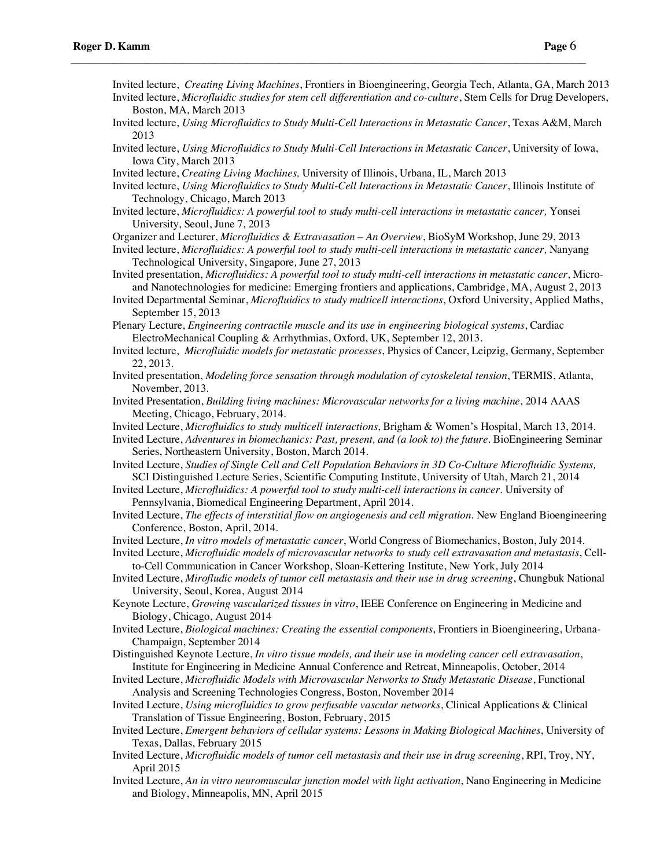Invited lecture, *Creating Living Machines*, Frontiers in Bioengineering, Georgia Tech, Atlanta, GA, March 2013 Invited lecture, *Microfluidic studies for stem cell differentiation and co-culture*, Stem Cells for Drug Developers, Boston, MA, March 2013

 $\_$  ,  $\_$  ,  $\_$  ,  $\_$  ,  $\_$  ,  $\_$  ,  $\_$  ,  $\_$  ,  $\_$  ,  $\_$  ,  $\_$  ,  $\_$  ,  $\_$  ,  $\_$  ,  $\_$  ,  $\_$  ,  $\_$  ,  $\_$  ,  $\_$  ,  $\_$  ,  $\_$  ,  $\_$  ,  $\_$  ,  $\_$  ,  $\_$  ,  $\_$  ,  $\_$  ,  $\_$  ,  $\_$  ,  $\_$  ,  $\_$  ,  $\_$  ,  $\_$  ,  $\_$  ,  $\_$  ,  $\_$  ,  $\_$  ,

- Invited lecture, *Using Microfluidics to Study Multi-Cell Interactions in Metastatic Cancer*, Texas A&M, March 2013
- Invited lecture, *Using Microfluidics to Study Multi-Cell Interactions in Metastatic Cancer*, University of Iowa, Iowa City, March 2013
- Invited lecture, *Creating Living Machines,* University of Illinois, Urbana, IL, March 2013
- Invited lecture, *Using Microfluidics to Study Multi-Cell Interactions in Metastatic Cancer*, Illinois Institute of Technology, Chicago, March 2013
- Invited lecture, *Microfluidics: A powerful tool to study multi-cell interactions in metastatic cancer,* Yonsei University, Seoul, June 7, 2013

Organizer and Lecturer, *Microfluidics & Extravasation – An Overview*, BioSyM Workshop, June 29, 2013

- Invited lecture, *Microfluidics: A powerful tool to study multi-cell interactions in metastatic cancer,* Nanyang Technological University, Singapore*,* June 27, 2013
- Invited presentation, *Microfluidics: A powerful tool to study multi-cell interactions in metastatic cancer*, Microand Nanotechnologies for medicine: Emerging frontiers and applications, Cambridge, MA, August 2, 2013
- Invited Departmental Seminar, *Microfluidics to study multicell interactions*, Oxford University, Applied Maths, September 15, 2013
- Plenary Lecture, *Engineering contractile muscle and its use in engineering biological systems*, Cardiac ElectroMechanical Coupling & Arrhythmias, Oxford, UK, September 12, 2013.
- Invited lecture, *Microfluidic models for metastatic processes*, Physics of Cancer, Leipzig, Germany, September 22, 2013.
- Invited presentation, *Modeling force sensation through modulation of cytoskeletal tension*, TERMIS, Atlanta, November, 2013.
- Invited Presentation, *Building living machines: Microvascular networks for a living machine*, 2014 AAAS Meeting, Chicago, February, 2014.
- Invited Lecture, *Microfluidics to study multicell interactions*, Brigham & Women's Hospital, March 13, 2014.

Invited Lecture, *Adventures in biomechanics: Past, present, and (a look to) the future*. BioEngineering Seminar Series, Northeastern University, Boston, March 2014.

- Invited Lecture, *Studies of Single Cell and Cell Population Behaviors in 3D Co-Culture Microfluidic Systems,*  SCI Distinguished Lecture Series, Scientific Computing Institute, University of Utah, March 21, 2014
- Invited Lecture, *Microfluidics: A powerful tool to study multi-cell interactions in cancer*. University of Pennsylvania, Biomedical Engineering Department, April 2014.
- Invited Lecture, *The effects of interstitial flow on angiogenesis and cell migration*. New England Bioengineering Conference, Boston, April, 2014.
- Invited Lecture, *In vitro models of metastatic cancer*, World Congress of Biomechanics, Boston, July 2014.
- Invited Lecture, *Microfluidic models of microvascular networks to study cell extravasation and metastasis*, Cellto-Cell Communication in Cancer Workshop, Sloan-Kettering Institute, New York, July 2014
- Invited Lecture, *Mirofludic models of tumor cell metastasis and their use in drug screening*, Chungbuk National University, Seoul, Korea, August 2014
- Keynote Lecture, *Growing vascularized tissues in vitro*, IEEE Conference on Engineering in Medicine and Biology, Chicago, August 2014
- Invited Lecture, *Biological machines: Creating the essential components*, Frontiers in Bioengineering, Urbana-Champaign, September 2014
- Distinguished Keynote Lecture, *In vitro tissue models, and their use in modeling cancer cell extravasation*, Institute for Engineering in Medicine Annual Conference and Retreat, Minneapolis, October, 2014
- Invited Lecture, *Microfluidic Models with Microvascular Networks to Study Metastatic Disease*, Functional Analysis and Screening Technologies Congress, Boston, November 2014
- Invited Lecture, *Using microfluidics to grow perfusable vascular networks*, Clinical Applications & Clinical Translation of Tissue Engineering, Boston, February, 2015
- Invited Lecture, *Emergent behaviors of cellular systems: Lessons in Making Biological Machines*, University of Texas, Dallas, February 2015
- Invited Lecture, *Microfluidic models of tumor cell metastasis and their use in drug screening*, RPI, Troy, NY, April 2015
- Invited Lecture, *An in vitro neuromuscular junction model with light activation*, Nano Engineering in Medicine and Biology, Minneapolis, MN, April 2015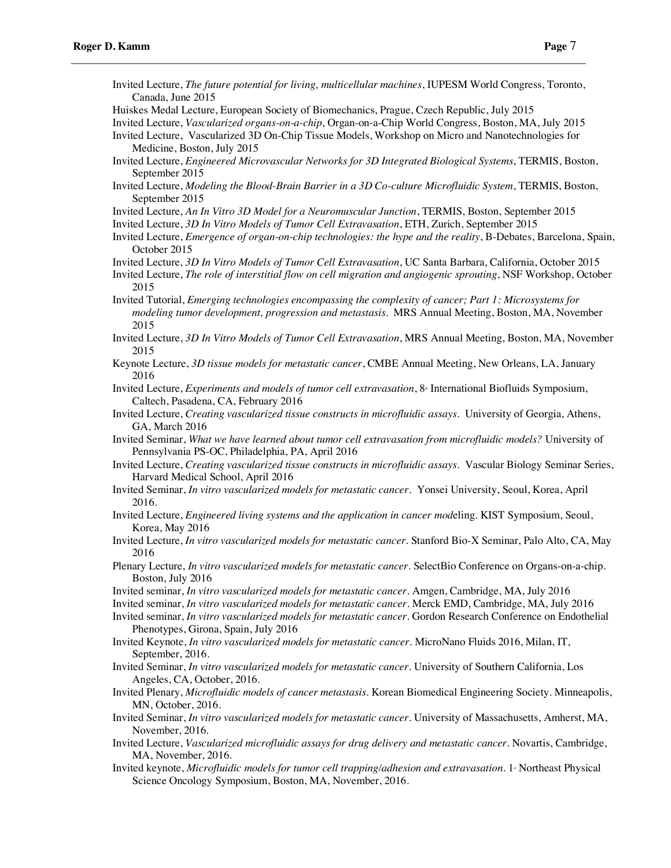- Invited Lecture, *The future potential for living, multicellular machines*, IUPESM World Congress, Toronto, Canada, June 2015
- Huiskes Medal Lecture, European Society of Biomechanics, Prague, Czech Republic, July 2015

- Invited Lecture, *Vascularized organs-on-a-chip*, Organ-on-a-Chip World Congress, Boston, MA, July 2015
- Invited Lecture, Vascularized 3D On-Chip Tissue Models, Workshop on Micro and Nanotechnologies for Medicine, Boston, July 2015
- Invited Lecture, *Engineered Microvascular Networks for 3D Integrated Biological Systems*, TERMIS, Boston, September 2015
- Invited Lecture, *Modeling the Blood-Brain Barrier in a 3D Co-culture Microfluidic System*, TERMIS, Boston, September 2015
- Invited Lecture, *An In Vitro 3D Model for a Neuromuscular Junction*, TERMIS, Boston, September 2015
- Invited Lecture, *3D In Vitro Models of Tumor Cell Extravasation*, ETH, Zurich, September 2015
- Invited Lecture, *Emergence of organ-on-chip technologies: the hype and the reality*, B-Debates, Barcelona, Spain, October 2015
- Invited Lecture, *3D In Vitro Models of Tumor Cell Extravasation*, UC Santa Barbara, California, October 2015
- Invited Lecture, *The role of interstitial flow on cell migration and angiogenic sprouting*, NSF Workshop, October 2015
- Invited Tutorial, *Emerging technologies encompassing the complexity of cancer; Part 1: Microsystems for modeling tumor development, progression and metastasis*. MRS Annual Meeting, Boston, MA, November 2015
- Invited Lecture, *3D In Vitro Models of Tumor Cell Extravasation*, MRS Annual Meeting, Boston, MA, November 2015
- Keynote Lecture, *3D tissue models for metastatic cancer*, CMBE Annual Meeting, New Orleans, LA, January 2016
- Invited Lecture, *Experiments and models of tumor cell extravasation*, 8<sup>th</sup> International Biofluids Symposium, Caltech, Pasadena, CA, February 2016
- Invited Lecture, *Creating vascularized tissue constructs in microfluidic assays*. University of Georgia, Athens, GA, March 2016
- Invited Seminar, *What we have learned about tumor cell extravasation from microfluidic models?* University of Pennsylvania PS-OC, Philadelphia, PA, April 2016
- Invited Lecture, *Creating vascularized tissue constructs in microfluidic assays*. Vascular Biology Seminar Series, Harvard Medical School, April 2016
- Invited Seminar, *In vitro vascularized models for metastatic cancer*. Yonsei University, Seoul, Korea, April 2016.
- Invited Lecture, *Engineered living systems and the application in cancer mod*eling. KIST Symposium, Seoul, Korea, May 2016
- Invited Lecture, *In vitro vascularized models for metastatic cancer.* Stanford Bio-X Seminar, Palo Alto, CA, May 2016
- Plenary Lecture, *In vitro vascularized models for metastatic cancer*. SelectBio Conference on Organs-on-a-chip. Boston, July 2016
- Invited seminar, *In vitro vascularized models for metastatic cancer*. Amgen, Cambridge, MA, July 2016
- Invited seminar, *In vitro vascularized models for metastatic cancer.* Merck EMD, Cambridge, MA, July 2016
- Invited seminar, *In vitro vascularized models for metastatic cancer*. Gordon Research Conference on Endothelial Phenotypes, Girona, Spain, July 2016
- Invited Keynote, *In vitro vascularized models for metastatic cancer*. MicroNano Fluids 2016, Milan, IT, September, 2016.
- Invited Seminar, *In vitro vascularized models for metastatic cancer*. University of Southern California, Los Angeles, CA, October, 2016.
- Invited Plenary, *Microfluidic models of cancer metastasis*. Korean Biomedical Engineering Society. Minneapolis, MN, October, 2016.
- Invited Seminar, *In vitro vascularized models for metastatic cancer.* University of Massachusetts, Amherst, MA, November, 2016.
- Invited Lecture, *Vascularized microfluidic assays for drug delivery and metastatic cancer*. Novartis, Cambridge, MA, November, 2016.
- Invited keynote, *Microfluidic models for tumor cell trapping/adhesion and extravasation*. 1<sup>®</sup> Northeast Physical Science Oncology Symposium, Boston, MA, November, 2016.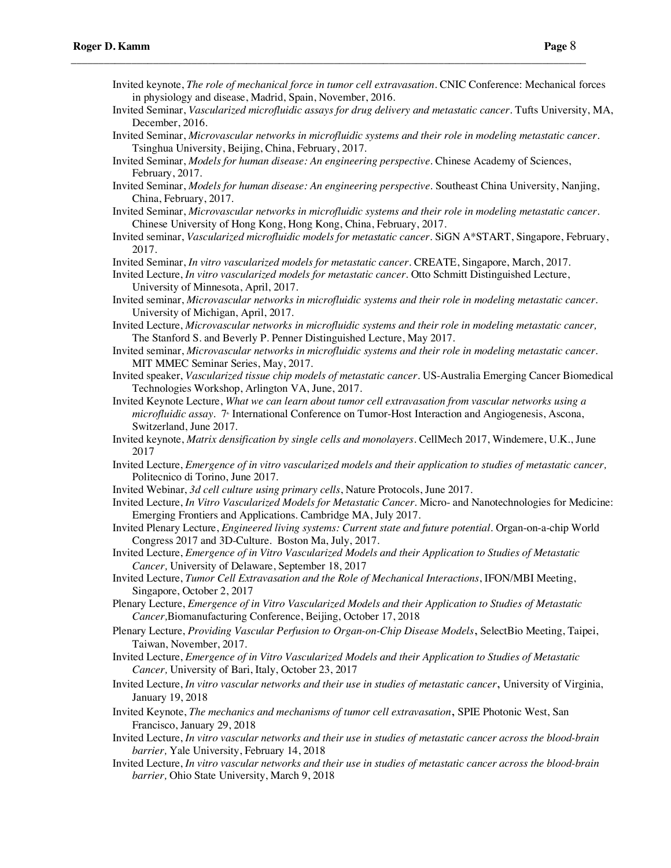- Invited keynote, *The role of mechanical force in tumor cell extravasation.* CNIC Conference: Mechanical forces in physiology and disease, Madrid, Spain, November, 2016.
- Invited Seminar, *Vascularized microfluidic assays for drug delivery and metastatic cancer*. Tufts University, MA, December, 2016.
- Invited Seminar, *Microvascular networks in microfluidic systems and their role in modeling metastatic cancer.* Tsinghua University, Beijing, China, February, 2017.
- Invited Seminar, *Models for human disease: An engineering perspective.* Chinese Academy of Sciences, February, 2017.

- Invited Seminar, *Models for human disease: An engineering perspective.* Southeast China University, Nanjing, China, February, 2017.
- Invited Seminar, *Microvascular networks in microfluidic systems and their role in modeling metastatic cancer.* Chinese University of Hong Kong, Hong Kong, China, February, 2017.
- Invited seminar, *Vascularized microfluidic models for metastatic cancer.* SiGN A\*START, Singapore, February, 2017.
- Invited Seminar, *In vitro vascularized models for metastatic cancer.* CREATE, Singapore, March, 2017.
- Invited Lecture, *In vitro vascularized models for metastatic cancer.* Otto Schmitt Distinguished Lecture, University of Minnesota, April, 2017.
- Invited seminar, *Microvascular networks in microfluidic systems and their role in modeling metastatic cancer.*  University of Michigan, April, 2017.
- Invited Lecture, *Microvascular networks in microfluidic systems and their role in modeling metastatic cancer,*  The Stanford S. and Beverly P. Penner Distinguished Lecture, May 2017.
- Invited seminar, *Microvascular networks in microfluidic systems and their role in modeling metastatic cancer.* MIT MMEC Seminar Series, May, 2017.
- Invited speaker, *Vascularized tissue chip models of metastatic cancer.* US-Australia Emerging Cancer Biomedical Technologies Workshop, Arlington VA, June, 2017.
- Invited Keynote Lecture, *What we can learn about tumor cell extravasation from vascular networks using a microfluidic assay.* 7<sup>th</sup> International Conference on Tumor-Host Interaction and Angiogenesis, Ascona, Switzerland, June 2017.
- Invited keynote, *Matrix densification by single cells and monolayers.* CellMech 2017, Windemere, U.K., June 2017
- Invited Lecture, *Emergence of in vitro vascularized models and their application to studies of metastatic cancer,* Politecnico di Torino, June 2017.
- Invited Webinar, *3d cell culture using primary cells*, Nature Protocols, June 2017.
- Invited Lecture, *In Vitro Vascularized Models for Metastatic Cancer.* Micro- and Nanotechnologies for Medicine: Emerging Frontiers and Applications. Cambridge MA, July 2017.
- Invited Plenary Lecture, *Engineered living systems: Current state and future potential.* Organ-on-a-chip World Congress 2017 and 3D-Culture. Boston Ma, July, 2017.
- Invited Lecture, *Emergence of in Vitro Vascularized Models and their Application to Studies of Metastatic Cancer,* University of Delaware, September 18, 2017
- Invited Lecture, *Tumor Cell Extravasation and the Role of Mechanical Interactions*, IFON/MBI Meeting, Singapore, October 2, 2017
- Plenary Lecture, *Emergence of in Vitro Vascularized Models and their Application to Studies of Metastatic Cancer,*Biomanufacturing Conference, Beijing, October 17, 2018
- Plenary Lecture, *Providing Vascular Perfusion to Organ-on-Chip Disease Models*, SelectBio Meeting, Taipei, Taiwan, November, 2017.
- Invited Lecture, *Emergence of in Vitro Vascularized Models and their Application to Studies of Metastatic Cancer,* University of Bari, Italy, October 23, 2017
- Invited Lecture, *In vitro vascular networks and their use in studies of metastatic cancer*, University of Virginia, January 19, 2018
- Invited Keynote, *The mechanics and mechanisms of tumor cell extravasation*, SPIE Photonic West, San Francisco, January 29, 2018
- Invited Lecture, *In vitro vascular networks and their use in studies of metastatic cancer across the blood-brain barrier,* Yale University, February 14, 2018
- Invited Lecture, *In vitro vascular networks and their use in studies of metastatic cancer across the blood-brain barrier,* Ohio State University, March 9, 2018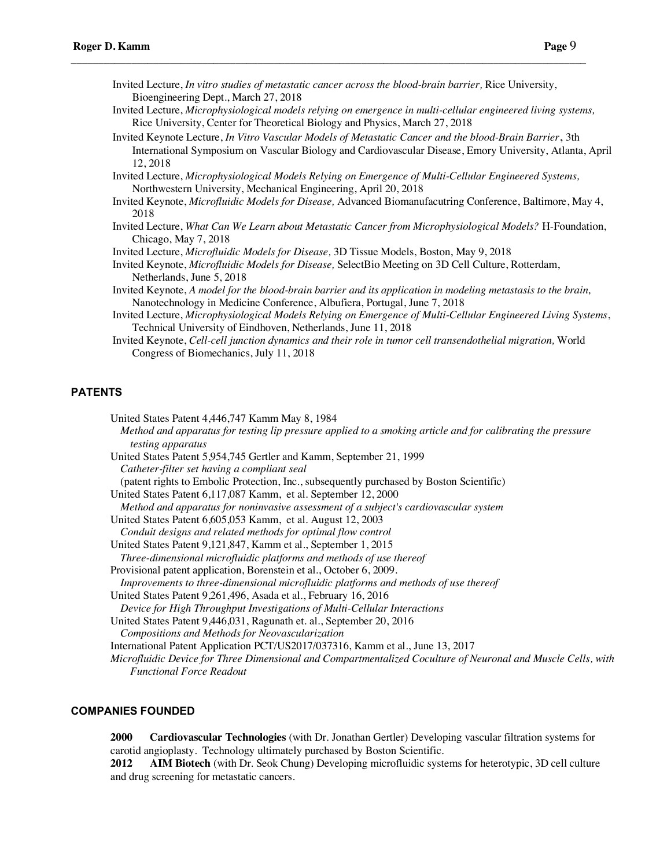Invited Lecture, *In vitro studies of metastatic cancer across the blood-brain barrier,* Rice University, Bioengineering Dept., March 27, 2018

 $\_$  ,  $\_$  ,  $\_$  ,  $\_$  ,  $\_$  ,  $\_$  ,  $\_$  ,  $\_$  ,  $\_$  ,  $\_$  ,  $\_$  ,  $\_$  ,  $\_$  ,  $\_$  ,  $\_$  ,  $\_$  ,  $\_$  ,  $\_$  ,  $\_$  ,  $\_$  ,  $\_$  ,  $\_$  ,  $\_$  ,  $\_$  ,  $\_$  ,  $\_$  ,  $\_$  ,  $\_$  ,  $\_$  ,  $\_$  ,  $\_$  ,  $\_$  ,  $\_$  ,  $\_$  ,  $\_$  ,  $\_$  ,  $\_$  ,

- Invited Lecture, *Microphysiological models relying on emergence in multi-cellular engineered living systems,*  Rice University, Center for Theoretical Biology and Physics, March 27, 2018
- Invited Keynote Lecture, *In Vitro Vascular Models of Metastatic Cancer and the blood-Brain Barrier*, 3th International Symposium on Vascular Biology and Cardiovascular Disease, Emory University, Atlanta, April 12, 2018

Invited Lecture, *Microphysiological Models Relying on Emergence of Multi-Cellular Engineered Systems,*  Northwestern University, Mechanical Engineering, April 20, 2018

- Invited Keynote, *Microfluidic Models for Disease,* Advanced Biomanufacutring Conference, Baltimore, May 4, 2018
- Invited Lecture, *What Can We Learn about Metastatic Cancer from Microphysiological Models?* H-Foundation, Chicago, May 7, 2018

Invited Lecture, *Microfluidic Models for Disease,* 3D Tissue Models, Boston, May 9, 2018

Invited Keynote, *A model for the blood-brain barrier and its application in modeling metastasis to the brain,* Nanotechnology in Medicine Conference, Albufiera, Portugal, June 7, 2018

## **PATENTS**

United States Patent 4,446,747 Kamm May 8, 1984 *Method and apparatus for testing lip pressure applied to a smoking article and for calibrating the pressure testing apparatus*  United States Patent 5,954,745 Gertler and Kamm, September 21, 1999 *Catheter-filter set having a compliant seal*  (patent rights to Embolic Protection, Inc., subsequently purchased by Boston Scientific) United States Patent 6,117,087 Kamm, et al. September 12, 2000 *Method and apparatus for noninvasive assessment of a subject's cardiovascular system*  United States Patent 6,605,053 Kamm, et al. August 12, 2003 *Conduit designs and related methods for optimal flow control*  United States Patent 9,121,847, Kamm et al., September 1, 2015 *Three-dimensional microfluidic platforms and methods of use thereof* Provisional patent application, Borenstein et al., October 6, 2009. *Improvements to three-dimensional microfluidic platforms and methods of use thereof* United States Patent 9,261,496, Asada et al., February 16, 2016 *Device for High Throughput Investigations of Multi-Cellular Interactions* United States Patent 9,446,031, Ragunath et. al., September 20, 2016 *Compositions and Methods for Neovascularization* International Patent Application PCT/US2017/037316, Kamm et al., June 13, 2017 *Microfluidic Device for Three Dimensional and Compartmentalized Coculture of Neuronal and Muscle Cells, with Functional Force Readout*

## **COMPANIES FOUNDED**

**2000 Cardiovascular Technologies** (with Dr. Jonathan Gertler) Developing vascular filtration systems for carotid angioplasty. Technology ultimately purchased by Boston Scientific.

**2012 AIM Biotech** (with Dr. Seok Chung) Developing microfluidic systems for heterotypic, 3D cell culture and drug screening for metastatic cancers.

Invited Keynote, *Microfluidic Models for Disease,* SelectBio Meeting on 3D Cell Culture, Rotterdam, Netherlands, June 5, 2018

Invited Lecture, *Microphysiological Models Relying on Emergence of Multi-Cellular Engineered Living Systems*, Technical University of Eindhoven, Netherlands, June 11, 2018

Invited Keynote, *Cell-cell junction dynamics and their role in tumor cell transendothelial migration,* World Congress of Biomechanics, July 11, 2018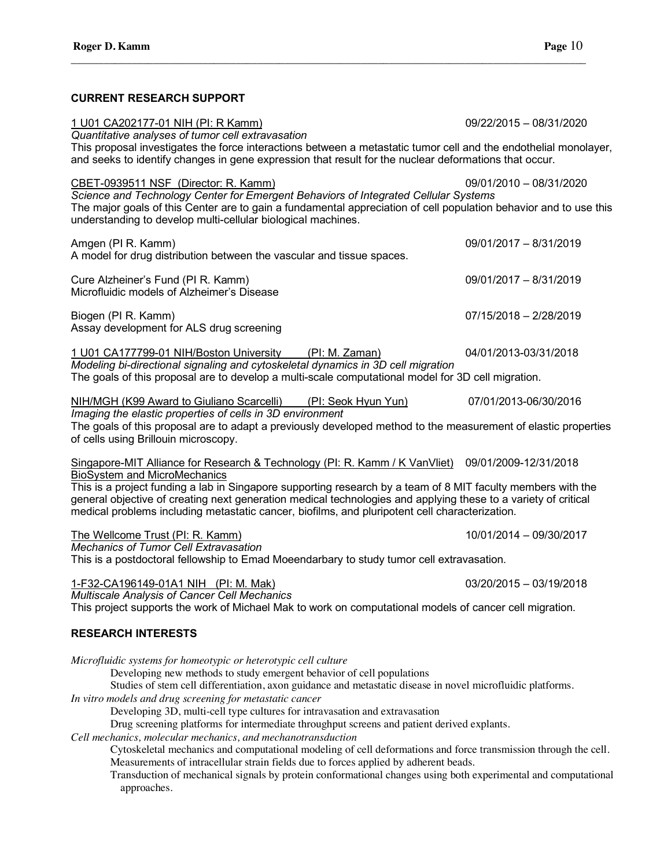| <b>CURRENT RESEARCH SUPPORT</b>                                                                                                                                                                                                                                                                                                                                                                                                                                                                                                                                                                                                                                                                                                                                                                                                                                                               |                         |  |  |
|-----------------------------------------------------------------------------------------------------------------------------------------------------------------------------------------------------------------------------------------------------------------------------------------------------------------------------------------------------------------------------------------------------------------------------------------------------------------------------------------------------------------------------------------------------------------------------------------------------------------------------------------------------------------------------------------------------------------------------------------------------------------------------------------------------------------------------------------------------------------------------------------------|-------------------------|--|--|
| 1 U01 CA202177-01 NIH (PI: R Kamm)<br>Quantitative analyses of tumor cell extravasation<br>This proposal investigates the force interactions between a metastatic tumor cell and the endothelial monolayer,<br>and seeks to identify changes in gene expression that result for the nuclear deformations that occur.                                                                                                                                                                                                                                                                                                                                                                                                                                                                                                                                                                          | 09/22/2015 - 08/31/2020 |  |  |
| CBET-0939511 NSF (Director: R. Kamm)<br>Science and Technology Center for Emergent Behaviors of Integrated Cellular Systems<br>The major goals of this Center are to gain a fundamental appreciation of cell population behavior and to use this<br>understanding to develop multi-cellular biological machines.                                                                                                                                                                                                                                                                                                                                                                                                                                                                                                                                                                              | 09/01/2010 - 08/31/2020 |  |  |
| Amgen (PI R. Kamm)<br>A model for drug distribution between the vascular and tissue spaces.                                                                                                                                                                                                                                                                                                                                                                                                                                                                                                                                                                                                                                                                                                                                                                                                   | 09/01/2017 - 8/31/2019  |  |  |
| Cure Alzheiner's Fund (PI R. Kamm)<br>Microfluidic models of Alzheimer's Disease                                                                                                                                                                                                                                                                                                                                                                                                                                                                                                                                                                                                                                                                                                                                                                                                              | 09/01/2017 - 8/31/2019  |  |  |
| Biogen (PI R. Kamm)<br>Assay development for ALS drug screening                                                                                                                                                                                                                                                                                                                                                                                                                                                                                                                                                                                                                                                                                                                                                                                                                               | 07/15/2018 - 2/28/2019  |  |  |
| 1 U01 CA177799-01 NIH/Boston University (PI: M. Zaman)<br>Modeling bi-directional signaling and cytoskeletal dynamics in 3D cell migration<br>The goals of this proposal are to develop a multi-scale computational model for 3D cell migration.                                                                                                                                                                                                                                                                                                                                                                                                                                                                                                                                                                                                                                              | 04/01/2013-03/31/2018   |  |  |
| NIH/MGH (K99 Award to Giuliano Scarcelli) (PI: Seok Hyun Yun)<br>Imaging the elastic properties of cells in 3D environment<br>The goals of this proposal are to adapt a previously developed method to the measurement of elastic properties<br>of cells using Brillouin microscopy.                                                                                                                                                                                                                                                                                                                                                                                                                                                                                                                                                                                                          | 07/01/2013-06/30/2016   |  |  |
| Singapore-MIT Alliance for Research & Technology (PI: R. Kamm / K VanVliet) 09/01/2009-12/31/2018<br><b>BioSystem and MicroMechanics</b><br>This is a project funding a lab in Singapore supporting research by a team of 8 MIT faculty members with the<br>general objective of creating next generation medical technologies and applying these to a variety of critical<br>medical problems including metastatic cancer, biofilms, and pluripotent cell characterization.                                                                                                                                                                                                                                                                                                                                                                                                                  |                         |  |  |
| The Wellcome Trust (PI: R. Kamm)<br>Mechanics of Tumor Cell Extravasation<br>This is a postdoctoral fellowship to Emad Moeendarbary to study tumor cell extravasation.                                                                                                                                                                                                                                                                                                                                                                                                                                                                                                                                                                                                                                                                                                                        | 10/01/2014 - 09/30/2017 |  |  |
| 1-F32-CA196149-01A1 NIH (PI: M. Mak)<br>Multiscale Analysis of Cancer Cell Mechanics<br>This project supports the work of Michael Mak to work on computational models of cancer cell migration.                                                                                                                                                                                                                                                                                                                                                                                                                                                                                                                                                                                                                                                                                               | 03/20/2015 - 03/19/2018 |  |  |
| <b>RESEARCH INTERESTS</b>                                                                                                                                                                                                                                                                                                                                                                                                                                                                                                                                                                                                                                                                                                                                                                                                                                                                     |                         |  |  |
| Microfluidic systems for homeotypic or heterotypic cell culture<br>Developing new methods to study emergent behavior of cell populations<br>Studies of stem cell differentiation, axon guidance and metastatic disease in novel microfluidic platforms.<br>In vitro models and drug screening for metastatic cancer<br>Developing 3D, multi-cell type cultures for intravasation and extravasation<br>Drug screening platforms for intermediate throughput screens and patient derived explants.<br>Cell mechanics, molecular mechanics, and mechanotransduction<br>Cytoskeletal mechanics and computational modeling of cell deformations and force transmission through the cell.<br>Measurements of intracellular strain fields due to forces applied by adherent beads.<br>Transduction of mechanical signals by protein conformational changes using both experimental and computational |                         |  |  |

Transduction of mechanical signals by protein conformational changes using both experimental and computational approaches.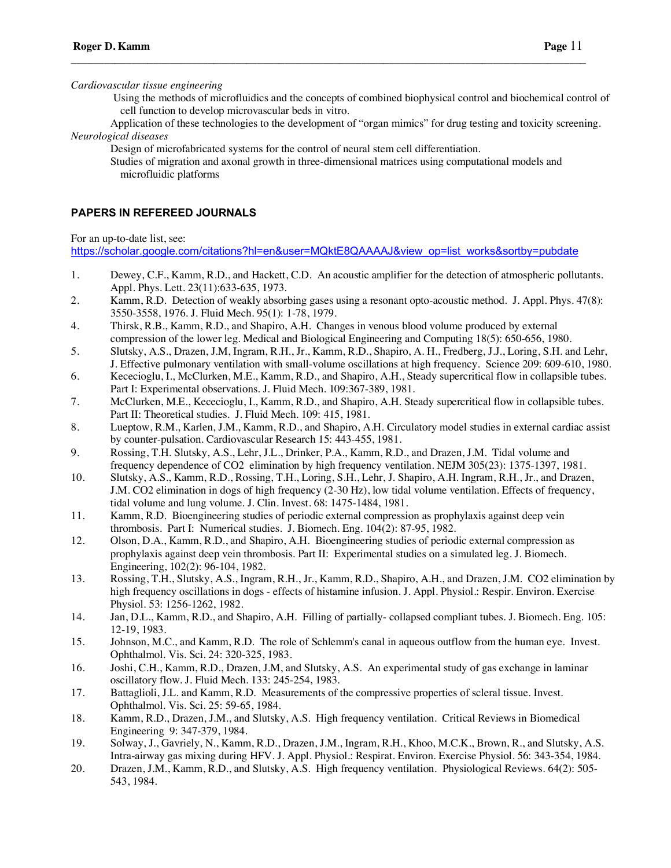*Cardiovascular tissue engineering*

Using the methods of microfluidics and the concepts of combined biophysical control and biochemical control of cell function to develop microvascular beds in vitro.

Application of these technologies to the development of "organ mimics" for drug testing and toxicity screening. *Neurological diseases*

 $\_$  ,  $\_$  ,  $\_$  ,  $\_$  ,  $\_$  ,  $\_$  ,  $\_$  ,  $\_$  ,  $\_$  ,  $\_$  ,  $\_$  ,  $\_$  ,  $\_$  ,  $\_$  ,  $\_$  ,  $\_$  ,  $\_$  ,  $\_$  ,  $\_$  ,  $\_$  ,  $\_$  ,  $\_$  ,  $\_$  ,  $\_$  ,  $\_$  ,  $\_$  ,  $\_$  ,  $\_$  ,  $\_$  ,  $\_$  ,  $\_$  ,  $\_$  ,  $\_$  ,  $\_$  ,  $\_$  ,  $\_$  ,  $\_$  ,

Design of microfabricated systems for the control of neural stem cell differentiation.

Studies of migration and axonal growth in three-dimensional matrices using computational models and microfluidic platforms

## **PAPERS IN REFEREED JOURNALS**

For an up-to-date list, see:

https://scholar.google.com/citations?hl=en&user=MQktE8QAAAAJ&view\_op=list\_works&sortby=pubdate

- 1. Dewey, C.F., Kamm, R.D., and Hackett, C.D. An acoustic amplifier for the detection of atmospheric pollutants. Appl. Phys. Lett. 23(11):633-635, 1973.
- 2. Kamm, R.D. Detection of weakly absorbing gases using a resonant opto-acoustic method. J. Appl. Phys. 47(8): 3550-3558, 1976. J. Fluid Mech. 95(1): 1-78, 1979.
- 4. Thirsk, R.B., Kamm, R.D., and Shapiro, A.H. Changes in venous blood volume produced by external compression of the lower leg. Medical and Biological Engineering and Computing 18(5): 650-656, 1980.
- 5. Slutsky, A.S., Drazen, J.M, Ingram, R.H., Jr., Kamm, R.D., Shapiro, A. H., Fredberg, J.J., Loring, S.H. and Lehr, J. Effective pulmonary ventilation with small-volume oscillations at high frequency. Science 209: 609-610, 1980.
- 6. Kececioglu, I., McClurken, M.E., Kamm, R.D., and Shapiro, A.H., Steady supercritical flow in collapsible tubes. Part I: Experimental observations. J. Fluid Mech. 109:367-389, 1981.
- 7. McClurken, M.E., Kececioglu, I., Kamm, R.D., and Shapiro, A.H. Steady supercritical flow in collapsible tubes. Part II: Theoretical studies. J. Fluid Mech. 109: 415, 1981.
- 8. Lueptow, R.M., Karlen, J.M., Kamm, R.D., and Shapiro, A.H. Circulatory model studies in external cardiac assist by counter-pulsation. Cardiovascular Research 15: 443-455, 1981.
- 9. Rossing, T.H. Slutsky, A.S., Lehr, J.L., Drinker, P.A., Kamm, R.D., and Drazen, J.M. Tidal volume and frequency dependence of CO2 elimination by high frequency ventilation. NEJM 305(23): 1375-1397, 1981.
- 10. Slutsky, A.S., Kamm, R.D., Rossing, T.H., Loring, S.H., Lehr, J. Shapiro, A.H. Ingram, R.H., Jr., and Drazen, J.M. CO2 elimination in dogs of high frequency (2-30 Hz), low tidal volume ventilation. Effects of frequency, tidal volume and lung volume. J. Clin. Invest. 68: 1475-1484, 1981.
- 11. Kamm, R.D. Bioengineering studies of periodic external compression as prophylaxis against deep vein thrombosis. Part I: Numerical studies. J. Biomech. Eng. 104(2): 87-95, 1982.
- 12. Olson, D.A., Kamm, R.D., and Shapiro, A.H. Bioengineering studies of periodic external compression as prophylaxis against deep vein thrombosis. Part II: Experimental studies on a simulated leg. J. Biomech. Engineering, 102(2): 96-104, 1982.
- 13. Rossing, T.H., Slutsky, A.S., Ingram, R.H., Jr., Kamm, R.D., Shapiro, A.H., and Drazen, J.M. CO2 elimination by high frequency oscillations in dogs - effects of histamine infusion. J. Appl. Physiol.: Respir. Environ. Exercise Physiol. 53: 1256-1262, 1982.
- 14. Jan, D.L., Kamm, R.D., and Shapiro, A.H. Filling of partially- collapsed compliant tubes. J. Biomech. Eng. 105: 12-19, 1983.
- 15. Johnson, M.C., and Kamm, R.D. The role of Schlemm's canal in aqueous outflow from the human eye. Invest. Ophthalmol. Vis. Sci. 24: 320-325, 1983.
- 16. Joshi, C.H., Kamm, R.D., Drazen, J.M, and Slutsky, A.S. An experimental study of gas exchange in laminar oscillatory flow. J. Fluid Mech. 133: 245-254, 1983.
- 17. Battaglioli, J.L. and Kamm, R.D. Measurements of the compressive properties of scleral tissue. Invest. Ophthalmol. Vis. Sci. 25: 59-65, 1984.
- 18. Kamm, R.D., Drazen, J.M., and Slutsky, A.S. High frequency ventilation. Critical Reviews in Biomedical Engineering 9: 347-379, 1984.
- 19. Solway, J., Gavriely, N., Kamm, R.D., Drazen, J.M., Ingram, R.H., Khoo, M.C.K., Brown, R., and Slutsky, A.S. Intra-airway gas mixing during HFV. J. Appl. Physiol.: Respirat. Environ. Exercise Physiol. 56: 343-354, 1984.
- 20. Drazen, J.M., Kamm, R.D., and Slutsky, A.S. High frequency ventilation. Physiological Reviews. 64(2): 505- 543, 1984.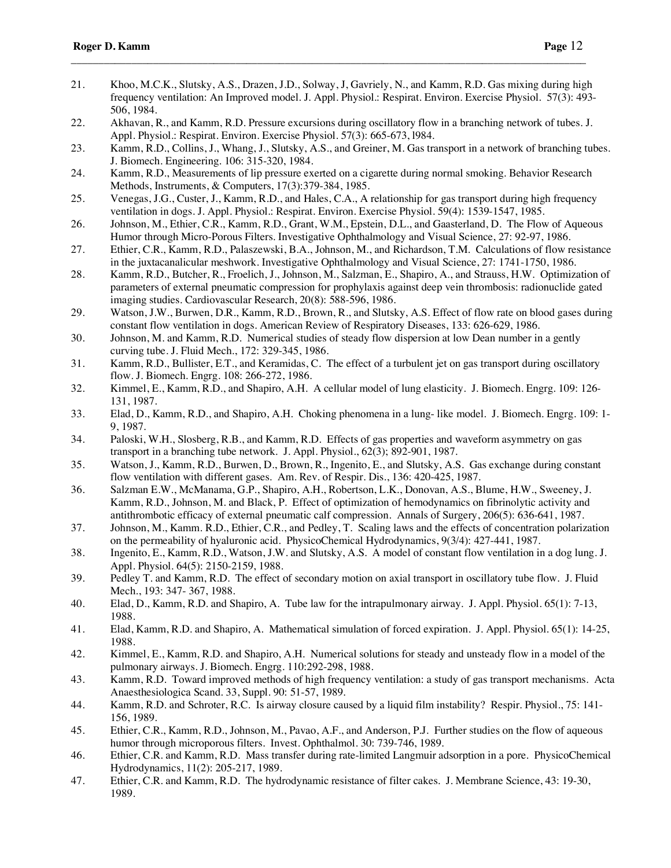21. Khoo, M.C.K., Slutsky, A.S., Drazen, J.D., Solway, J, Gavriely, N., and Kamm, R.D. Gas mixing during high frequency ventilation: An Improved model. J. Appl. Physiol.: Respirat. Environ. Exercise Physiol. 57(3): 493- 506, 1984.

- 22. Akhavan, R., and Kamm, R.D. Pressure excursions during oscillatory flow in a branching network of tubes. J. Appl. Physiol.: Respirat. Environ. Exercise Physiol. 57(3): 665-673, l984.
- 23. Kamm, R.D., Collins, J., Whang, J., Slutsky, A.S., and Greiner, M. Gas transport in a network of branching tubes. J. Biomech. Engineering. 106: 315-320, 1984.
- 24. Kamm, R.D., Measurements of lip pressure exerted on a cigarette during normal smoking. Behavior Research Methods, Instruments, & Computers, 17(3):379-384, 1985.
- 25. Venegas, J.G., Custer, J., Kamm, R.D., and Hales, C.A., A relationship for gas transport during high frequency ventilation in dogs. J. Appl. Physiol.: Respirat. Environ. Exercise Physiol. 59(4): 1539-1547, 1985.
- 26. Johnson, M., Ethier, C.R., Kamm, R.D., Grant, W.M., Epstein, D.L., and Gaasterland, D. The Flow of Aqueous Humor through Micro-Porous Filters. Investigative Ophthalmology and Visual Science, 27: 92-97, 1986.
- 27. Ethier, C.R., Kamm, R.D., Palaszewski, B.A., Johnson, M., and Richardson, T.M. Calculations of flow resistance in the juxtacanalicular meshwork. Investigative Ophthalmology and Visual Science, 27: 1741-1750, 1986.
- 28. Kamm, R.D., Butcher, R., Froelich, J., Johnson, M., Salzman, E., Shapiro, A., and Strauss, H.W. Optimization of parameters of external pneumatic compression for prophylaxis against deep vein thrombosis: radionuclide gated imaging studies. Cardiovascular Research, 20(8): 588-596, 1986.
- 29. Watson, J.W., Burwen, D.R., Kamm, R.D., Brown, R., and Slutsky, A.S. Effect of flow rate on blood gases during constant flow ventilation in dogs. American Review of Respiratory Diseases, 133: 626-629, 1986.
- 30. Johnson, M. and Kamm, R.D. Numerical studies of steady flow dispersion at low Dean number in a gently curving tube. J. Fluid Mech., 172: 329-345, 1986.
- 31. Kamm, R.D., Bullister, E.T., and Keramidas, C. The effect of a turbulent jet on gas transport during oscillatory flow. J. Biomech. Engrg. 108: 266-272, 1986.
- 32. Kimmel, E., Kamm, R.D., and Shapiro, A.H. A cellular model of lung elasticity. J. Biomech. Engrg. 109: 126- 131, 1987.
- 33. Elad, D., Kamm, R.D., and Shapiro, A.H. Choking phenomena in a lung- like model. J. Biomech. Engrg. 109: 1- 9, 1987.
- 34. Paloski, W.H., Slosberg, R.B., and Kamm, R.D. Effects of gas properties and waveform asymmetry on gas transport in a branching tube network. J. Appl. Physiol., 62(3); 892-901, 1987.
- 35. Watson, J., Kamm, R.D., Burwen, D., Brown, R., Ingenito, E., and Slutsky, A.S. Gas exchange during constant flow ventilation with different gases. Am. Rev. of Respir. Dis., 136: 420-425, 1987.
- 36. Salzman E.W., McManama, G.P., Shapiro, A.H., Robertson, L.K., Donovan, A.S., Blume, H.W., Sweeney, J. Kamm, R.D., Johnson, M. and Black, P. Effect of optimization of hemodynamics on fibrinolytic activity and antithrombotic efficacy of external pneumatic calf compression. Annals of Surgery, 206(5): 636-641, 1987.
- 37. Johnson, M., Kamm. R.D., Ethier, C.R., and Pedley, T. Scaling laws and the effects of concentration polarization on the permeability of hyaluronic acid. PhysicoChemical Hydrodynamics, 9(3/4): 427-441, 1987.
- 38. Ingenito, E., Kamm, R.D., Watson, J.W. and Slutsky, A.S. A model of constant flow ventilation in a dog lung. J. Appl. Physiol. 64(5): 2150-2159, 1988.
- 39. Pedley T. and Kamm, R.D. The effect of secondary motion on axial transport in oscillatory tube flow. J. Fluid Mech., 193: 347- 367, 1988.
- 40. Elad, D., Kamm, R.D. and Shapiro, A. Tube law for the intrapulmonary airway. J. Appl. Physiol. 65(1): 7-13, 1988.
- 41. Elad, Kamm, R.D. and Shapiro, A. Mathematical simulation of forced expiration. J. Appl. Physiol. 65(1): 14-25, 1988.
- 42. Kimmel, E., Kamm, R.D. and Shapiro, A.H. Numerical solutions for steady and unsteady flow in a model of the pulmonary airways. J. Biomech. Engrg. 110:292-298, 1988.
- 43. Kamm, R.D. Toward improved methods of high frequency ventilation: a study of gas transport mechanisms. Acta Anaesthesiologica Scand. 33, Suppl. 90: 51-57, 1989.
- 44. Kamm, R.D. and Schroter, R.C. Is airway closure caused by a liquid film instability? Respir. Physiol., 75: 141-156, 1989.
- 45. Ethier, C.R., Kamm, R.D., Johnson, M., Pavao, A.F., and Anderson, P.J. Further studies on the flow of aqueous humor through microporous filters. Invest. Ophthalmol. 30: 739-746, 1989.
- 46. Ethier, C.R. and Kamm, R.D. Mass transfer during rate-limited Langmuir adsorption in a pore. PhysicoChemical Hydrodynamics, 11(2): 205-217, 1989.
- 47. Ethier, C.R. and Kamm, R.D. The hydrodynamic resistance of filter cakes. J. Membrane Science, 43: 19-30, 1989.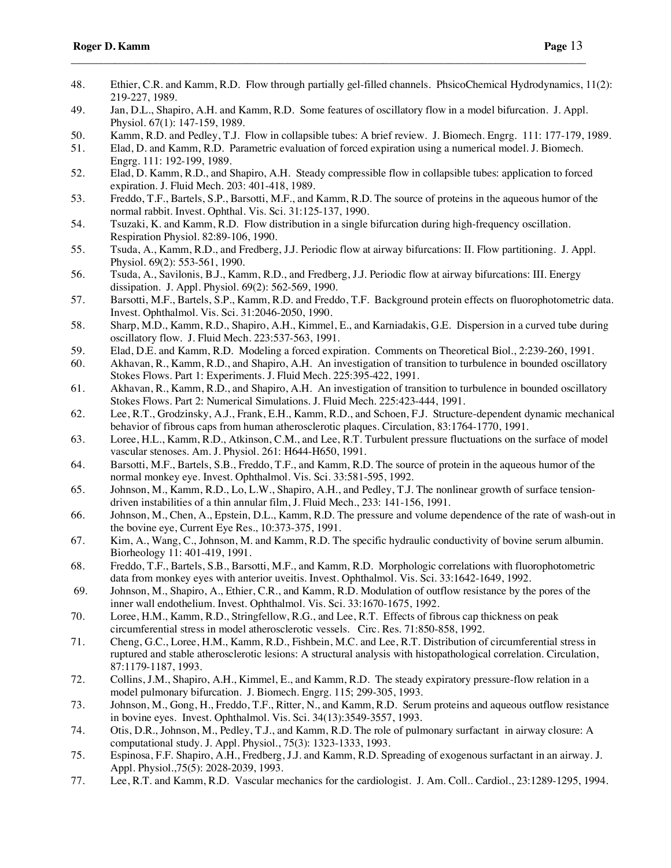- 48. Ethier, C.R. and Kamm, R.D. Flow through partially gel-filled channels. PhsicoChemical Hydrodynamics, 11(2): 219-227, 1989.
- 49. Jan, D.L., Shapiro, A.H. and Kamm, R.D. Some features of oscillatory flow in a model bifurcation. J. Appl. Physiol. 67(1): 147-159, 1989.

- 50. Kamm, R.D. and Pedley, T.J. Flow in collapsible tubes: A brief review. J. Biomech. Engrg. 111: 177-179, 1989.
- 51. Elad, D. and Kamm, R.D. Parametric evaluation of forced expiration using a numerical model. J. Biomech. Engrg. 111: 192-199, 1989.
- 52. Elad, D. Kamm, R.D., and Shapiro, A.H. Steady compressible flow in collapsible tubes: application to forced expiration. J. Fluid Mech. 203: 401-418, 1989.
- 53. Freddo, T.F., Bartels, S.P., Barsotti, M.F., and Kamm, R.D. The source of proteins in the aqueous humor of the normal rabbit. Invest. Ophthal. Vis. Sci. 31:125-137, 1990.
- 54. Tsuzaki, K. and Kamm, R.D. Flow distribution in a single bifurcation during high-frequency oscillation. Respiration Physiol. 82:89-106, 1990.
- 55. Tsuda, A., Kamm, R.D., and Fredberg, J.J. Periodic flow at airway bifurcations: II. Flow partitioning. J. Appl. Physiol. 69(2): 553-561, 1990.
- 56. Tsuda, A., Savilonis, B.J., Kamm, R.D., and Fredberg, J.J. Periodic flow at airway bifurcations: III. Energy dissipation. J. Appl. Physiol. 69(2): 562-569, 1990.
- 57. Barsotti, M.F., Bartels, S.P., Kamm, R.D. and Freddo, T.F. Background protein effects on fluorophotometric data. Invest. Ophthalmol. Vis. Sci. 31:2046-2050, 1990.
- 58. Sharp, M.D., Kamm, R.D., Shapiro, A.H., Kimmel, E., and Karniadakis, G.E. Dispersion in a curved tube during oscillatory flow. J. Fluid Mech. 223:537-563, 1991.
- 59. Elad, D.E. and Kamm, R.D. Modeling a forced expiration. Comments on Theoretical Biol., 2:239-260, 1991.<br>60. Akhavan, R., Kamm, R.D., and Shapiro, A.H. An investigation of transition to turbulence in bounded oscillate
- 60. Akhavan, R., Kamm, R.D., and Shapiro, A.H. An investigation of transition to turbulence in bounded oscillatory Stokes Flows. Part 1: Experiments. J. Fluid Mech. 225:395-422, 1991.
- 61. Akhavan, R., Kamm, R.D., and Shapiro, A.H. An investigation of transition to turbulence in bounded oscillatory Stokes Flows. Part 2: Numerical Simulations. J. Fluid Mech. 225:423-444, 1991.
- 62. Lee, R.T., Grodzinsky, A.J., Frank, E.H., Kamm, R.D., and Schoen, F.J. Structure-dependent dynamic mechanical behavior of fibrous caps from human atherosclerotic plaques. Circulation, 83:1764-1770, 1991.
- 63. Loree, H.L., Kamm, R.D., Atkinson, C.M., and Lee, R.T. Turbulent pressure fluctuations on the surface of model vascular stenoses. Am. J. Physiol. 261: H644-H650, 1991.
- 64. Barsotti, M.F., Bartels, S.B., Freddo, T.F., and Kamm, R.D. The source of protein in the aqueous humor of the normal monkey eye. Invest. Ophthalmol. Vis. Sci. 33:581-595, 1992.
- 65. Johnson, M., Kamm, R.D., Lo, L.W., Shapiro, A.H., and Pedley, T.J. The nonlinear growth of surface tensiondriven instabilities of a thin annular film, J. Fluid Mech., 233: 141-156, 1991.
- 66. Johnson, M., Chen, A., Epstein, D.L., Kamm, R.D. The pressure and volume dependence of the rate of wash-out in the bovine eye, Current Eye Res., 10:373-375, 1991.
- 67. Kim, A., Wang, C., Johnson, M. and Kamm, R.D. The specific hydraulic conductivity of bovine serum albumin. Biorheology 11: 401-419, 1991.
- 68. Freddo, T.F., Bartels, S.B., Barsotti, M.F., and Kamm, R.D. Morphologic correlations with fluorophotometric data from monkey eyes with anterior uveitis. Invest. Ophthalmol. Vis. Sci. 33:1642-1649, 1992.
- 69. Johnson, M., Shapiro, A., Ethier, C.R., and Kamm, R.D. Modulation of outflow resistance by the pores of the inner wall endothelium. Invest. Ophthalmol. Vis. Sci. 33:1670-1675, 1992.
- 70. Loree, H.M., Kamm, R.D., Stringfellow, R.G., and Lee, R.T. Effects of fibrous cap thickness on peak circumferential stress in model atherosclerotic vessels. Circ. Res. 71:850-858, 1992.
- 71. Cheng, G.C., Loree, H.M., Kamm, R.D., Fishbein, M.C. and Lee, R.T. Distribution of circumferential stress in ruptured and stable atherosclerotic lesions: A structural analysis with histopathological correlation. Circulation, 87:1179-1187, 1993.
- 72. Collins, J.M., Shapiro, A.H., Kimmel, E., and Kamm, R.D. The steady expiratory pressure-flow relation in a model pulmonary bifurcation. J. Biomech. Engrg. 115; 299-305, 1993.
- 73. Johnson, M., Gong, H., Freddo, T.F., Ritter, N., and Kamm, R.D. Serum proteins and aqueous outflow resistance in bovine eyes. Invest. Ophthalmol. Vis. Sci. 34(13):3549-3557, 1993.
- 74. Otis, D.R., Johnson, M., Pedley, T.J., and Kamm, R.D. The role of pulmonary surfactant in airway closure: A computational study. J. Appl. Physiol., 75(3): 1323-1333, 1993.
- 75. Espinosa, F.F. Shapiro, A.H., Fredberg, J.J. and Kamm, R.D. Spreading of exogenous surfactant in an airway. J. Appl. Physiol.,75(5): 2028-2039, 1993.
- 77. Lee, R.T. and Kamm, R.D. Vascular mechanics for the cardiologist. J. Am. Coll.. Cardiol., 23:1289-1295, 1994.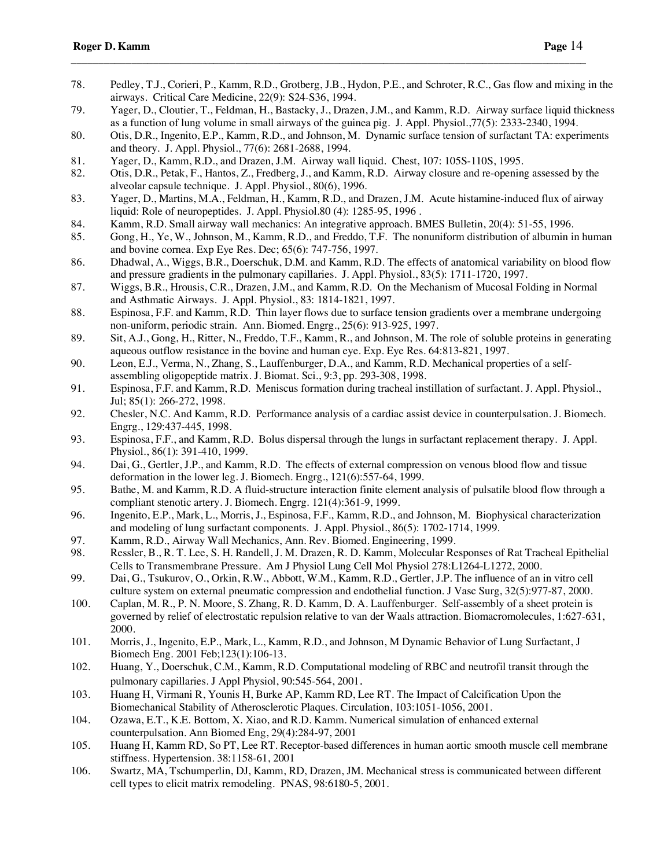78. Pedley, T.J., Corieri, P., Kamm, R.D., Grotberg, J.B., Hydon, P.E., and Schroter, R.C., Gas flow and mixing in the airways. Critical Care Medicine, 22(9): S24-S36, 1994.

- 79. Yager, D., Cloutier, T., Feldman, H., Bastacky, J., Drazen, J.M., and Kamm, R.D. Airway surface liquid thickness as a function of lung volume in small airways of the guinea pig. J. Appl. Physiol.,77(5): 2333-2340, 1994.
- 80. Otis, D.R., Ingenito, E.P., Kamm, R.D., and Johnson, M. Dynamic surface tension of surfactant TA: experiments and theory. J. Appl. Physiol., 77(6): 2681-2688, 1994.
- 81. Yager, D., Kamm, R.D., and Drazen, J.M. Airway wall liquid. Chest, 107: 105S-110S, 1995.
- 82. Otis, D.R., Petak, F., Hantos, Z., Fredberg, J., and Kamm, R.D. Airway closure and re-opening assessed by the alveolar capsule technique. J. Appl. Physiol., 80(6), 1996.
- 83. Yager, D., Martins, M.A., Feldman, H., Kamm, R.D., and Drazen, J.M. Acute histamine-induced flux of airway liquid: Role of neuropeptides. J. Appl. Physiol.80 (4): 1285-95, 1996 .
- 84. Kamm, R.D. Small airway wall mechanics: An integrative approach. BMES Bulletin, 20(4): 51-55, 1996.
- 85. Gong, H., Ye, W., Johnson, M., Kamm, R.D., and Freddo, T.F. The nonuniform distribution of albumin in human and bovine cornea. Exp Eye Res. Dec; 65(6): 747-756, 1997.
- 86. Dhadwal, A., Wiggs, B.R., Doerschuk, D.M. and Kamm, R.D. The effects of anatomical variability on blood flow and pressure gradients in the pulmonary capillaries. J. Appl. Physiol., 83(5): 1711-1720, 1997.
- 87. Wiggs, B.R., Hrousis, C.R., Drazen, J.M., and Kamm, R.D. On the Mechanism of Mucosal Folding in Normal and Asthmatic Airways. J. Appl. Physiol., 83: 1814-1821, 1997.
- 88. Espinosa, F.F. and Kamm, R.D. Thin layer flows due to surface tension gradients over a membrane undergoing non-uniform, periodic strain. Ann. Biomed. Engrg., 25(6): 913-925, 1997.
- 89. Sit, A.J., Gong, H., Ritter, N., Freddo, T.F., Kamm, R., and Johnson, M. The role of soluble proteins in generating aqueous outflow resistance in the bovine and human eye. Exp. Eye Res. 64:813-821, 1997.
- 90. Leon, E.J., Verma, N., Zhang, S., Lauffenburger, D.A., and Kamm, R.D. Mechanical properties of a selfassembling oligopeptide matrix. J. Biomat. Sci., 9:3, pp. 293-308, 1998.
- 91. Espinosa, F.F. and Kamm, R.D. Meniscus formation during tracheal instillation of surfactant. J. Appl. Physiol., Jul; 85(1): 266-272, 1998.
- 92. Chesler, N.C. And Kamm, R.D. Performance analysis of a cardiac assist device in counterpulsation. J. Biomech. Engrg., 129:437-445, 1998.
- 93. Espinosa, F.F., and Kamm, R.D. Bolus dispersal through the lungs in surfactant replacement therapy. J. Appl. Physiol., 86(1): 391-410, 1999.
- 94. Dai, G., Gertler, J.P., and Kamm, R.D. The effects of external compression on venous blood flow and tissue deformation in the lower leg. J. Biomech. Engrg., 121(6):557-64, 1999.
- 95. Bathe, M. and Kamm, R.D. A fluid-structure interaction finite element analysis of pulsatile blood flow through a compliant stenotic artery. J. Biomech. Engrg. 121(4):361-9, 1999.
- 96. Ingenito, E.P., Mark, L., Morris, J., Espinosa, F.F., Kamm, R.D., and Johnson, M. Biophysical characterization and modeling of lung surfactant components. J. Appl. Physiol., 86(5): 1702-1714, 1999.
- 97. Kamm, R.D., Airway Wall Mechanics, Ann. Rev. Biomed. Engineering, 1999.
- 98. Ressler, B., R. T. Lee, S. H. Randell, J. M. Drazen, R. D. Kamm, Molecular Responses of Rat Tracheal Epithelial Cells to Transmembrane Pressure. Am J Physiol Lung Cell Mol Physiol 278:L1264-L1272, 2000.
- 99. Dai, G., Tsukurov, O., Orkin, R.W., Abbott, W.M., Kamm, R.D., Gertler, J.P. The influence of an in vitro cell culture system on external pneumatic compression and endothelial function. J Vasc Surg, 32(5):977-87, 2000.
- 100. Caplan, M. R., P. N. Moore, S. Zhang, R. D. Kamm, D. A. Lauffenburger. Self-assembly of a sheet protein is governed by relief of electrostatic repulsion relative to van der Waals attraction. Biomacromolecules, 1:627-631, 2000.
- 101. Morris, J., Ingenito, E.P., Mark, L., Kamm, R.D., and Johnson, M Dynamic Behavior of Lung Surfactant, J Biomech Eng. 2001 Feb;123(1):106-13.
- 102. Huang, Y., Doerschuk, C.M., Kamm, R.D. Computational modeling of RBC and neutrofil transit through the pulmonary capillaries. J Appl Physiol, 90:545-564, 2001.
- 103. Huang H, Virmani R, Younis H, Burke AP, Kamm RD, Lee RT. The Impact of Calcification Upon the Biomechanical Stability of Atherosclerotic Plaques. Circulation, 103:1051-1056, 2001.
- 104. Ozawa, E.T., K.E. Bottom, X. Xiao, and R.D. Kamm. Numerical simulation of enhanced external counterpulsation. Ann Biomed Eng, 29(4):284-97, 2001
- 105. Huang H, Kamm RD, So PT, Lee RT. Receptor-based differences in human aortic smooth muscle cell membrane stiffness. Hypertension. 38:1158-61, 2001
- 106. Swartz, MA, Tschumperlin, DJ, Kamm, RD, Drazen, JM. Mechanical stress is communicated between different cell types to elicit matrix remodeling. PNAS, 98:6180-5, 2001.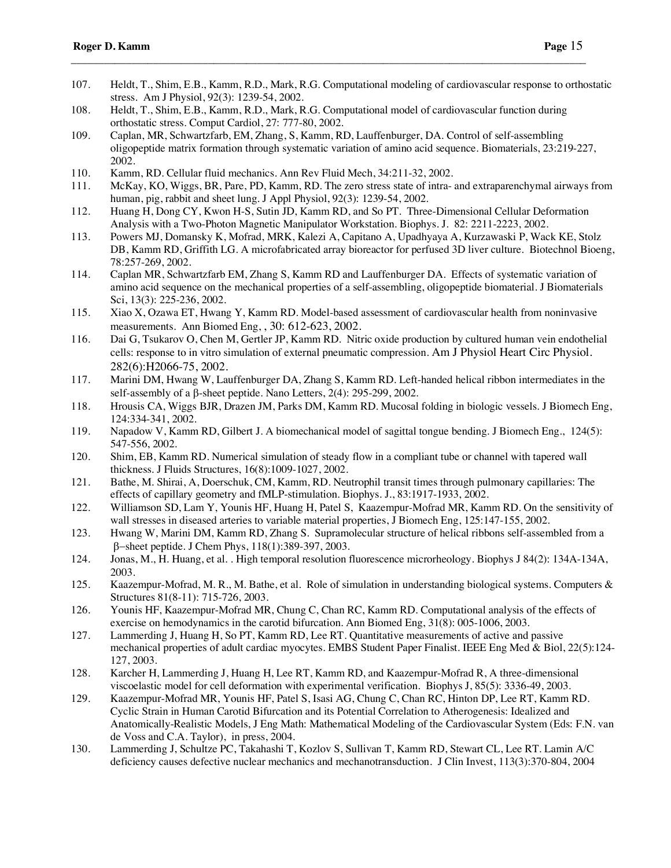107. Heldt, T., Shim, E.B., Kamm, R.D., Mark, R.G. Computational modeling of cardiovascular response to orthostatic stress. Am J Physiol, 92(3): 1239-54, 2002.

- 108. Heldt, T., Shim, E.B., Kamm, R.D., Mark, R.G. Computational model of cardiovascular function during orthostatic stress. Comput Cardiol, 27: 777-80, 2002.
- 109. Caplan, MR, Schwartzfarb, EM, Zhang, S, Kamm, RD, Lauffenburger, DA. Control of self-assembling oligopeptide matrix formation through systematic variation of amino acid sequence. Biomaterials, 23:219-227, 2002.
- 110. Kamm, RD. Cellular fluid mechanics. Ann Rev Fluid Mech, 34:211-32, 2002.
- 111. McKay, KO, Wiggs, BR, Pare, PD, Kamm, RD. The zero stress state of intra- and extraparenchymal airways from human, pig, rabbit and sheet lung. J Appl Physiol, 92(3): 1239-54, 2002.
- 112. Huang H, Dong CY, Kwon H-S, Sutin JD, Kamm RD, and So PT. Three-Dimensional Cellular Deformation Analysis with a Two-Photon Magnetic Manipulator Workstation. Biophys. J. 82: 2211-2223, 2002.
- 113. Powers MJ, Domansky K, Mofrad, MRK, Kalezi A, Capitano A, Upadhyaya A, Kurzawaski P, Wack KE, Stolz DB, Kamm RD, Griffith LG. A microfabricated array bioreactor for perfused 3D liver culture. Biotechnol Bioeng, 78:257-269, 2002.
- 114. Caplan MR, Schwartzfarb EM, Zhang S, Kamm RD and Lauffenburger DA. Effects of systematic variation of amino acid sequence on the mechanical properties of a self-assembling, oligopeptide biomaterial. J Biomaterials Sci, 13(3): 225-236, 2002.
- 115. Xiao X, Ozawa ET, Hwang Y, Kamm RD. Model-based assessment of cardiovascular health from noninvasive measurements. Ann Biomed Eng, , 30: 612-623, 2002.
- 116. Dai G, Tsukarov O, Chen M, Gertler JP, Kamm RD. Nitric oxide production by cultured human vein endothelial cells: response to in vitro simulation of external pneumatic compression. Am J Physiol Heart Circ Physiol. 282(6):H2066-75, 2002.
- 117. Marini DM, Hwang W, Lauffenburger DA, Zhang S, Kamm RD. Left-handed helical ribbon intermediates in the self-assembly of a  $\beta$ -sheet peptide. Nano Letters, 2(4): 295-299, 2002.
- 118. Hrousis CA, Wiggs BJR, Drazen JM, Parks DM, Kamm RD. Mucosal folding in biologic vessels. J Biomech Eng, 124:334-341, 2002.
- 119. Napadow V, Kamm RD, Gilbert J. A biomechanical model of sagittal tongue bending. J Biomech Eng., 124(5): 547-556, 2002.
- 120. Shim, EB, Kamm RD. Numerical simulation of steady flow in a compliant tube or channel with tapered wall thickness. J Fluids Structures, 16(8):1009-1027, 2002.
- 121. Bathe, M. Shirai, A, Doerschuk, CM, Kamm, RD. Neutrophil transit times through pulmonary capillaries: The effects of capillary geometry and fMLP-stimulation. Biophys. J., 83:1917-1933, 2002.
- 122. Williamson SD, Lam Y, Younis HF, Huang H, Patel S, Kaazempur-Mofrad MR, Kamm RD. On the sensitivity of wall stresses in diseased arteries to variable material properties, J Biomech Eng, 125:147-155, 2002.
- 123. Hwang W, Marini DM, Kamm RD, Zhang S. Supramolecular structure of helical ribbons self-assembled from a b-sheet peptide. J Chem Phys, 118(1):389-397, 2003.
- 124. Jonas, M., H. Huang, et al. . High temporal resolution fluorescence microrheology. Biophys J 84(2): 134A-134A, 2003.
- 125. Kaazempur-Mofrad, M. R., M. Bathe, et al. Role of simulation in understanding biological systems. Computers & Structures 81(8-11): 715-726, 2003.
- 126. Younis HF, Kaazempur-Mofrad MR, Chung C, Chan RC, Kamm RD. Computational analysis of the effects of exercise on hemodynamics in the carotid bifurcation. Ann Biomed Eng, 31(8): 005-1006, 2003.
- 127. Lammerding J, Huang H, So PT, Kamm RD, Lee RT. Quantitative measurements of active and passive mechanical properties of adult cardiac myocytes. EMBS Student Paper Finalist. IEEE Eng Med & Biol, 22(5):124- 127, 2003.
- 128. Karcher H, Lammerding J, Huang H, Lee RT, Kamm RD, and Kaazempur-Mofrad R, A three-dimensional viscoelastic model for cell deformation with experimental verification. Biophys J, 85(5): 3336-49, 2003.
- 129. Kaazempur-Mofrad MR, Younis HF, Patel S, Isasi AG, Chung C, Chan RC, Hinton DP, Lee RT, Kamm RD. Cyclic Strain in Human Carotid Bifurcation and its Potential Correlation to Atherogenesis: Idealized and Anatomically-Realistic Models, J Eng Math: Mathematical Modeling of the Cardiovascular System (Eds: F.N. van de Voss and C.A. Taylor), in press, 2004.
- 130. Lammerding J, Schultze PC, Takahashi T, Kozlov S, Sullivan T, Kamm RD, Stewart CL, Lee RT. Lamin A/C deficiency causes defective nuclear mechanics and mechanotransduction. J Clin Invest, 113(3):370-804, 2004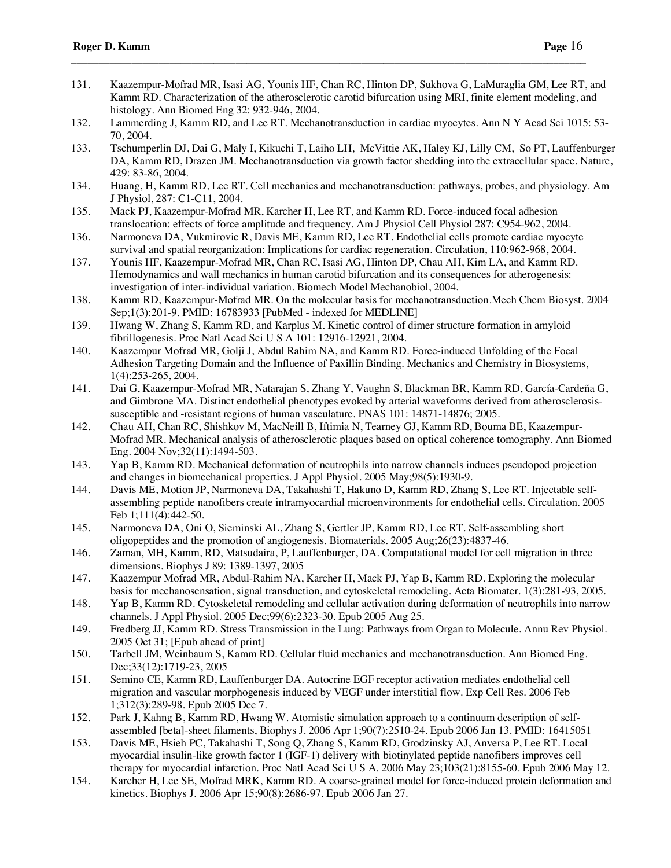131. Kaazempur-Mofrad MR, Isasi AG, Younis HF, Chan RC, Hinton DP, Sukhova G, LaMuraglia GM, Lee RT, and Kamm RD. Characterization of the atherosclerotic carotid bifurcation using MRI, finite element modeling, and histology. Ann Biomed Eng 32: 932-946, 2004.

- 132. Lammerding J, Kamm RD, and Lee RT. Mechanotransduction in cardiac myocytes. Ann N Y Acad Sci 1015: 53- 70, 2004.
- 133. Tschumperlin DJ, Dai G, Maly I, Kikuchi T, Laiho LH, McVittie AK, Haley KJ, Lilly CM, So PT, Lauffenburger DA, Kamm RD, Drazen JM. Mechanotransduction via growth factor shedding into the extracellular space. Nature, 429: 83-86, 2004.
- 134. Huang, H, Kamm RD, Lee RT. Cell mechanics and mechanotransduction: pathways, probes, and physiology. Am J Physiol, 287: C1-C11, 2004.
- 135. Mack PJ, Kaazempur-Mofrad MR, Karcher H, Lee RT, and Kamm RD. Force-induced focal adhesion translocation: effects of force amplitude and frequency. Am J Physiol Cell Physiol 287: C954-962, 2004.
- 136. Narmoneva DA, Vukmirovic R, Davis ME, Kamm RD, Lee RT. Endothelial cells promote cardiac myocyte survival and spatial reorganization: Implications for cardiac regeneration. Circulation, 110:962-968, 2004.
- 137. Younis HF, Kaazempur-Mofrad MR, Chan RC, Isasi AG, Hinton DP, Chau AH, Kim LA, and Kamm RD. Hemodynamics and wall mechanics in human carotid bifurcation and its consequences for atherogenesis: investigation of inter-individual variation. Biomech Model Mechanobiol, 2004.
- 138. Kamm RD, Kaazempur-Mofrad MR. On the molecular basis for mechanotransduction.Mech Chem Biosyst. 2004 Sep;1(3):201-9. PMID: 16783933 [PubMed - indexed for MEDLINE]
- 139. Hwang W, Zhang S, Kamm RD, and Karplus M. Kinetic control of dimer structure formation in amyloid fibrillogenesis. Proc Natl Acad Sci U S A 101: 12916-12921, 2004.
- 140. Kaazempur Mofrad MR, Golji J, Abdul Rahim NA, and Kamm RD. Force-induced Unfolding of the Focal Adhesion Targeting Domain and the Influence of Paxillin Binding. Mechanics and Chemistry in Biosystems, 1(4):253-265, 2004.
- 141. Dai G, Kaazempur-Mofrad MR, Natarajan S, Zhang Y, Vaughn S, Blackman BR, Kamm RD, García-Cardeña G, and Gimbrone MA. Distinct endothelial phenotypes evoked by arterial waveforms derived from atherosclerosissusceptible and -resistant regions of human vasculature. PNAS 101: 14871-14876; 2005.
- 142. Chau AH, Chan RC, Shishkov M, MacNeill B, Iftimia N, Tearney GJ, Kamm RD, Bouma BE, Kaazempur-Mofrad MR. Mechanical analysis of atherosclerotic plaques based on optical coherence tomography. Ann Biomed Eng. 2004 Nov;32(11):1494-503.
- 143. Yap B, Kamm RD. Mechanical deformation of neutrophils into narrow channels induces pseudopod projection and changes in biomechanical properties. J Appl Physiol. 2005 May;98(5):1930-9.
- 144. Davis ME, Motion JP, Narmoneva DA, Takahashi T, Hakuno D, Kamm RD, Zhang S, Lee RT. Injectable selfassembling peptide nanofibers create intramyocardial microenvironments for endothelial cells. Circulation. 2005 Feb 1;111(4):442-50.
- 145. Narmoneva DA, Oni O, Sieminski AL, Zhang S, Gertler JP, Kamm RD, Lee RT. Self-assembling short oligopeptides and the promotion of angiogenesis. Biomaterials. 2005 Aug;26(23):4837-46.
- 146. Zaman, MH, Kamm, RD, Matsudaira, P, Lauffenburger, DA. Computational model for cell migration in three dimensions. Biophys J 89: 1389-1397, 2005
- 147. Kaazempur Mofrad MR, Abdul-Rahim NA, Karcher H, Mack PJ, Yap B, Kamm RD. Exploring the molecular basis for mechanosensation, signal transduction, and cytoskeletal remodeling. Acta Biomater. 1(3):281-93, 2005.
- 148. Yap B, Kamm RD. Cytoskeletal remodeling and cellular activation during deformation of neutrophils into narrow channels. J Appl Physiol. 2005 Dec;99(6):2323-30. Epub 2005 Aug 25.
- 149. Fredberg JJ, Kamm RD. Stress Transmission in the Lung: Pathways from Organ to Molecule. Annu Rev Physiol. 2005 Oct 31; [Epub ahead of print]
- 150. Tarbell JM, Weinbaum S, Kamm RD. Cellular fluid mechanics and mechanotransduction. Ann Biomed Eng. Dec;33(12):1719-23, 2005
- 151. Semino CE, Kamm RD, Lauffenburger DA. Autocrine EGF receptor activation mediates endothelial cell migration and vascular morphogenesis induced by VEGF under interstitial flow. Exp Cell Res. 2006 Feb 1;312(3):289-98. Epub 2005 Dec 7.
- 152. Park J, Kahng B, Kamm RD, Hwang W. Atomistic simulation approach to a continuum description of selfassembled [beta]-sheet filaments, Biophys J. 2006 Apr 1;90(7):2510-24. Epub 2006 Jan 13. PMID: 16415051
- 153. Davis ME, Hsieh PC, Takahashi T, Song Q, Zhang S, Kamm RD, Grodzinsky AJ, Anversa P, Lee RT. Local myocardial insulin-like growth factor 1 (IGF-1) delivery with biotinylated peptide nanofibers improves cell therapy for myocardial infarction. Proc Natl Acad Sci U S A. 2006 May 23;103(21):8155-60. Epub 2006 May 12.
- 154. Karcher H, Lee SE, Mofrad MRK, Kamm RD. A coarse-grained model for force-induced protein deformation and kinetics. Biophys J. 2006 Apr 15;90(8):2686-97. Epub 2006 Jan 27.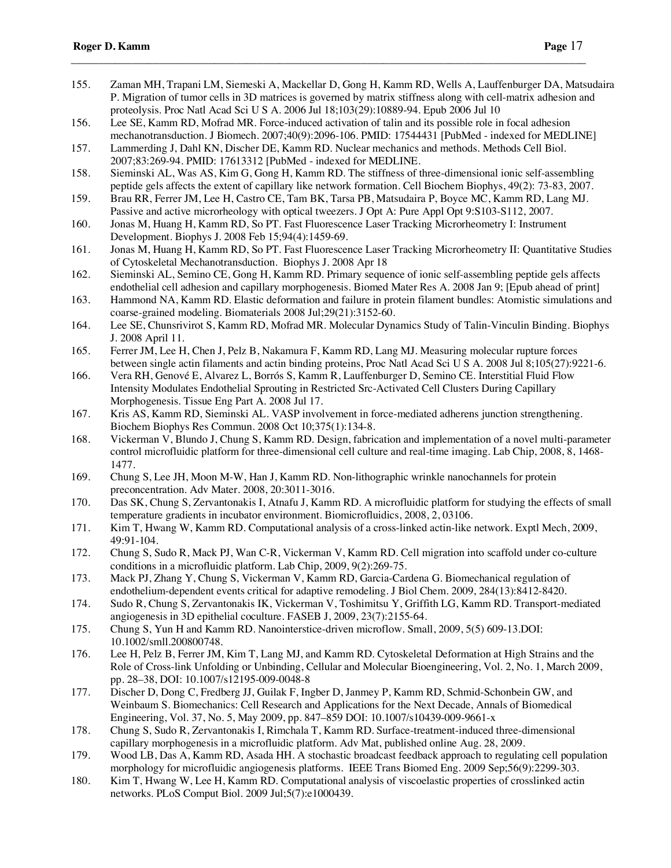- 155. Zaman MH, Trapani LM, Siemeski A, Mackellar D, Gong H, Kamm RD, Wells A, Lauffenburger DA, Matsudaira P. Migration of tumor cells in 3D matrices is governed by matrix stiffness along with cell-matrix adhesion and proteolysis. Proc Natl Acad Sci U S A. 2006 Jul 18;103(29):10889-94. Epub 2006 Jul 10
- 156. Lee SE, Kamm RD, Mofrad MR. Force-induced activation of talin and its possible role in focal adhesion mechanotransduction. J Biomech. 2007;40(9):2096-106. PMID: 17544431 [PubMed - indexed for MEDLINE]

- 157. Lammerding J, Dahl KN, Discher DE, Kamm RD. Nuclear mechanics and methods. Methods Cell Biol. 2007;83:269-94. PMID: 17613312 [PubMed - indexed for MEDLINE.
- 158. Sieminski AL, Was AS, Kim G, Gong H, Kamm RD. The stiffness of three-dimensional ionic self-assembling peptide gels affects the extent of capillary like network formation. Cell Biochem Biophys, 49(2): 73-83, 2007.
- 159. Brau RR, Ferrer JM, Lee H, Castro CE, Tam BK, Tarsa PB, Matsudaira P, Boyce MC, Kamm RD, Lang MJ. Passive and active microrheology with optical tweezers. J Opt A: Pure Appl Opt 9:S103-S112, 2007.
- 160. Jonas M, Huang H, Kamm RD, So PT. Fast Fluorescence Laser Tracking Microrheometry I: Instrument Development. Biophys J. 2008 Feb 15;94(4):1459-69.
- 161. Jonas M, Huang H, Kamm RD, So PT. Fast Fluorescence Laser Tracking Microrheometry II: Quantitative Studies of Cytoskeletal Mechanotransduction. Biophys J. 2008 Apr 18
- 162. Sieminski AL, Semino CE, Gong H, Kamm RD. Primary sequence of ionic self-assembling peptide gels affects endothelial cell adhesion and capillary morphogenesis. Biomed Mater Res A. 2008 Jan 9; [Epub ahead of print]
- 163. Hammond NA, Kamm RD. Elastic deformation and failure in protein filament bundles: Atomistic simulations and coarse-grained modeling. Biomaterials 2008 Jul;29(21):3152-60.
- 164. Lee SE, Chunsrivirot S, Kamm RD, Mofrad MR. Molecular Dynamics Study of Talin-Vinculin Binding. Biophys J. 2008 April 11.
- 165. Ferrer JM, Lee H, Chen J, Pelz B, Nakamura F, Kamm RD, Lang MJ. Measuring molecular rupture forces between single actin filaments and actin binding proteins, Proc Natl Acad Sci U S A. 2008 Jul 8;105(27):9221-6.
- 166. Vera RH, Genové E, Alvarez L, Borrós S, Kamm R, Lauffenburger D, Semino CE. Interstitial Fluid Flow Intensity Modulates Endothelial Sprouting in Restricted Src-Activated Cell Clusters During Capillary Morphogenesis. Tissue Eng Part A. 2008 Jul 17.
- 167. Kris AS, Kamm RD, Sieminski AL. VASP involvement in force-mediated adherens junction strengthening. Biochem Biophys Res Commun. 2008 Oct 10;375(1):134-8.
- 168. Vickerman V, Blundo J, Chung S, Kamm RD. Design, fabrication and implementation of a novel multi-parameter control microfluidic platform for three-dimensional cell culture and real-time imaging. Lab Chip, 2008, 8, 1468- 1477.
- 169. Chung S, Lee JH, Moon M-W, Han J, Kamm RD. Non-lithographic wrinkle nanochannels for protein preconcentration. Adv Mater. 2008, 20:3011-3016.
- 170. Das SK, Chung S, Zervantonakis I, Atnafu J, Kamm RD. A microfluidic platform for studying the effects of small temperature gradients in incubator environment. Biomicrofluidics, 2008, 2, 03106.
- 171. Kim T, Hwang W, Kamm RD. Computational analysis of a cross-linked actin-like network. Exptl Mech, 2009, 49:91-104.
- 172. Chung S, Sudo R, Mack PJ, Wan C-R, Vickerman V, Kamm RD. Cell migration into scaffold under co-culture conditions in a microfluidic platform. Lab Chip, 2009, 9(2):269-75.
- 173. Mack PJ, Zhang Y, Chung S, Vickerman V, Kamm RD, Garcia-Cardena G. Biomechanical regulation of endothelium-dependent events critical for adaptive remodeling. J Biol Chem. 2009, 284(13):8412-8420.
- 174. Sudo R, Chung S, Zervantonakis IK, Vickerman V, Toshimitsu Y, Griffith LG, Kamm RD. Transport-mediated angiogenesis in 3D epithelial coculture. FASEB J, 2009, 23(7):2155-64.
- 175. Chung S, Yun H and Kamm RD. Nanointerstice-driven microflow. Small, 2009, 5(5) 609-13.DOI: 10.1002/smll.200800748.
- 176. Lee H, Pelz B, Ferrer JM, Kim T, Lang MJ, and Kamm RD. Cytoskeletal Deformation at High Strains and the Role of Cross-link Unfolding or Unbinding, Cellular and Molecular Bioengineering, Vol. 2, No. 1, March 2009, pp. 28–38, DOI: 10.1007/s12195-009-0048-8
- 177. Discher D, Dong C, Fredberg JJ, Guilak F, Ingber D, Janmey P, Kamm RD, Schmid-Schonbein GW, and Weinbaum S. Biomechanics: Cell Research and Applications for the Next Decade, Annals of Biomedical Engineering, Vol. 37, No. 5, May 2009, pp. 847–859 DOI: 10.1007/s10439-009-9661-x
- 178. Chung S, Sudo R, Zervantonakis I, Rimchala T, Kamm RD. Surface-treatment-induced three-dimensional capillary morphogenesis in a microfluidic platform. Adv Mat, published online Aug. 28, 2009.
- 179. Wood LB, Das A, Kamm RD, Asada HH. A stochastic broadcast feedback approach to regulating cell population morphology for microfluidic angiogenesis platforms. IEEE Trans Biomed Eng. 2009 Sep;56(9):2299-303.
- 180. Kim T, Hwang W, Lee H, Kamm RD. Computational analysis of viscoelastic properties of crosslinked actin networks. PLoS Comput Biol. 2009 Jul;5(7):e1000439.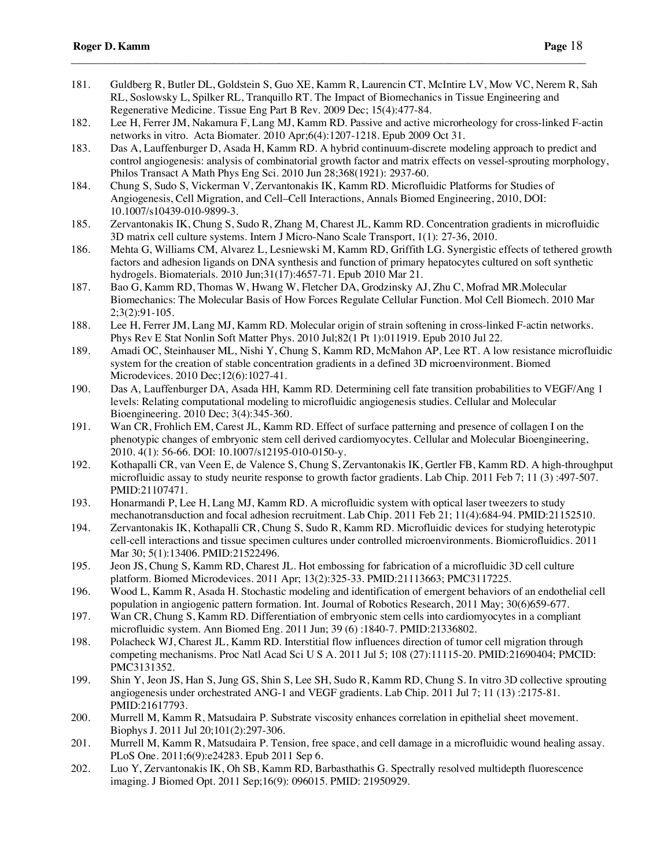181. Guldberg R, Butler DL, Goldstein S, Guo XE, Kamm R, Laurencin CT, McIntire LV, Mow VC, Nerem R, Sah RL, Soslowsky L, Spilker RL, Tranquillo RT. The Impact of Biomechanics in Tissue Engineering and Regenerative Medicine. Tissue Eng Part B Rev. 2009 Dec; 15(4):477-84.

- 182. Lee H, Ferrer JM, Nakamura F, Lang MJ, Kamm RD. Passive and active microrheology for cross-linked F-actin networks in vitro. Acta Biomater. 2010 Apr;6(4):1207-1218. Epub 2009 Oct 31.
- 183. Das A, Lauffenburger D, Asada H, Kamm RD. A hybrid continuum-discrete modeling approach to predict and control angiogenesis: analysis of combinatorial growth factor and matrix effects on vessel-sprouting morphology, Philos Transact A Math Phys Eng Sci. 2010 Jun 28;368(1921): 2937-60.
- 184. Chung S, Sudo S, Vickerman V, Zervantonakis IK, Kamm RD. Microfluidic Platforms for Studies of Angiogenesis, Cell Migration, and Cell–Cell Interactions, Annals Biomed Engineering, 2010, DOI: 10.1007/s10439-010-9899-3.
- 185. Zervantonakis IK, Chung S, Sudo R, Zhang M, Charest JL, Kamm RD. Concentration gradients in microfluidic 3D matrix cell culture systems. Intern J Micro-Nano Scale Transport, 1(1): 27-36, 2010.
- 186. Mehta G, Williams CM, Alvarez L, Lesniewski M, Kamm RD, Griffith LG. Synergistic effects of tethered growth factors and adhesion ligands on DNA synthesis and function of primary hepatocytes cultured on soft synthetic hydrogels. Biomaterials. 2010 Jun;31(17):4657-71. Epub 2010 Mar 21.
- 187. Bao G, Kamm RD, Thomas W, Hwang W, Fletcher DA, Grodzinsky AJ, Zhu C, Mofrad MR.Molecular Biomechanics: The Molecular Basis of How Forces Regulate Cellular Function. Mol Cell Biomech. 2010 Mar 2;3(2):91-105.
- 188. Lee H, Ferrer JM, Lang MJ, Kamm RD. Molecular origin of strain softening in cross-linked F-actin networks. Phys Rev E Stat Nonlin Soft Matter Phys. 2010 Jul;82(1 Pt 1):011919. Epub 2010 Jul 22.
- 189. Amadi OC, Steinhauser ML, Nishi Y, Chung S, Kamm RD, McMahon AP, Lee RT. A low resistance microfluidic system for the creation of stable concentration gradients in a defined 3D microenvironment. Biomed Microdevices. 2010 Dec;12(6):1027-41.
- 190. Das A, Lauffenburger DA, Asada HH, Kamm RD. Determining cell fate transition probabilities to VEGF/Ang 1 levels: Relating computational modeling to microfluidic angiogenesis studies. Cellular and Molecular Bioengineering. 2010 Dec; 3(4):345-360.
- 191. Wan CR, Frohlich EM, Carest JL, Kamm RD. Effect of surface patterning and presence of collagen I on the phenotypic changes of embryonic stem cell derived cardiomyocytes. Cellular and Molecular Bioengineering, 2010. 4(1): 56-66. DOI: 10.1007/s12195-010-0150-y.
- 192. Kothapalli CR, van Veen E, de Valence S, Chung S, Zervantonakis IK, Gertler FB, Kamm RD. A high-throughput microfluidic assay to study neurite response to growth factor gradients. Lab Chip. 2011 Feb 7; 11 (3) :497-507. PMID:21107471.
- 193. Honarmandi P, Lee H, Lang MJ, Kamm RD. A microfluidic system with optical laser tweezers to study mechanotransduction and focal adhesion recruitment. Lab Chip. 2011 Feb 21; 11(4):684-94. PMID:21152510.
- 194. Zervantonakis IK, Kothapalli CR, Chung S, Sudo R, Kamm RD. Microfluidic devices for studying heterotypic cell-cell interactions and tissue specimen cultures under controlled microenvironments. Biomicrofluidics. 2011 Mar 30; 5(1):13406. PMID:21522496.
- 195. Jeon JS, Chung S, Kamm RD, Charest JL. Hot embossing for fabrication of a microfluidic 3D cell culture platform. Biomed Microdevices. 2011 Apr; 13(2):325-33. PMID:21113663; PMC3117225.
- 196. Wood L, Kamm R, Asada H. Stochastic modeling and identification of emergent behaviors of an endothelial cell population in angiogenic pattern formation. Int. Journal of Robotics Research, 2011 May; 30(6)659-677.
- 197. Wan CR, Chung S, Kamm RD. Differentiation of embryonic stem cells into cardiomyocytes in a compliant microfluidic system. Ann Biomed Eng. 2011 Jun; 39 (6) :1840-7. PMID:21336802.
- 198. Polacheck WJ, Charest JL, Kamm RD. Interstitial flow influences direction of tumor cell migration through competing mechanisms. Proc Natl Acad Sci U S A. 2011 Jul 5; 108 (27):11115-20. PMID:21690404; PMCID: PMC3131352.
- 199. Shin Y, Jeon JS, Han S, Jung GS, Shin S, Lee SH, Sudo R, Kamm RD, Chung S. In vitro 3D collective sprouting angiogenesis under orchestrated ANG-1 and VEGF gradients. Lab Chip. 2011 Jul 7; 11 (13) :2175-81. PMID:21617793.
- 200. Murrell M, Kamm R, Matsudaira P. Substrate viscosity enhances correlation in epithelial sheet movement. Biophys J. 2011 Jul 20;101(2):297-306.
- 201. Murrell M, Kamm R, Matsudaira P. Tension, free space, and cell damage in a microfluidic wound healing assay. PLoS One. 2011;6(9):e24283. Epub 2011 Sep 6.
- 202. Luo Y, Zervantonakis IK, Oh SB, Kamm RD, Barbasthathis G. Spectrally resolved multidepth fluorescence imaging. J Biomed Opt. 2011 Sep;16(9): 096015. PMID: 21950929.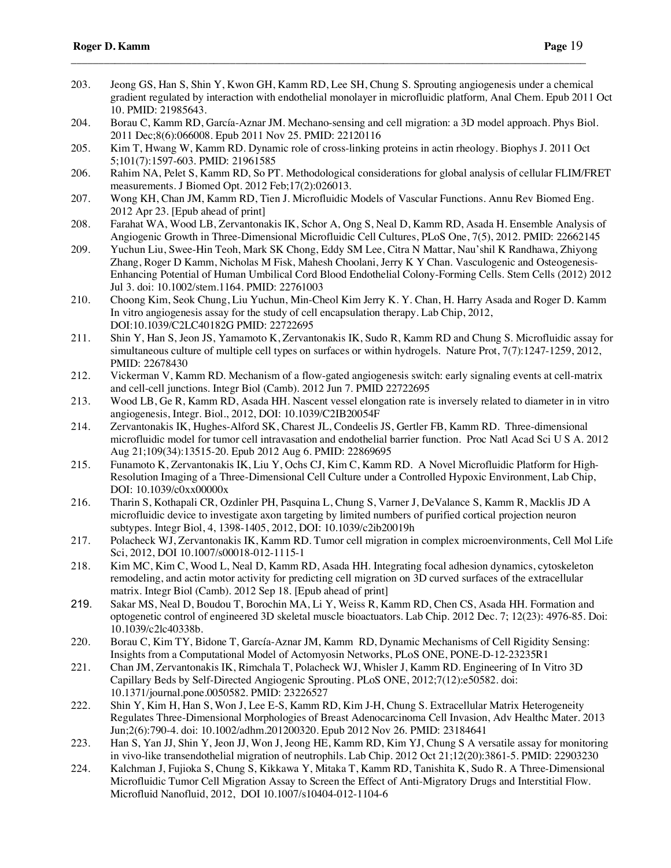- 203. Jeong GS, Han S, Shin Y, Kwon GH, Kamm RD, Lee SH, Chung S. Sprouting angiogenesis under a chemical gradient regulated by interaction with endothelial monolayer in microfluidic platform*,* Anal Chem. Epub 2011 Oct 10. PMID: 21985643.
- 204. Borau C, Kamm RD, García-Aznar JM. Mechano-sensing and cell migration: a 3D model approach. Phys Biol. 2011 Dec;8(6):066008. Epub 2011 Nov 25. PMID: 22120116

- 205. Kim T, Hwang W, Kamm RD. Dynamic role of cross-linking proteins in actin rheology. Biophys J. 2011 Oct 5;101(7):1597-603. PMID: 21961585
- 206. Rahim NA, Pelet S, Kamm RD, So PT. Methodological considerations for global analysis of cellular FLIM/FRET measurements. J Biomed Opt. 2012 Feb;17(2):026013.
- 207. Wong KH, Chan JM, Kamm RD, Tien J. Microfluidic Models of Vascular Functions. Annu Rev Biomed Eng. 2012 Apr 23. [Epub ahead of print]
- 208. Farahat WA, Wood LB, Zervantonakis IK, Schor A, Ong S, Neal D, Kamm RD, Asada H. Ensemble Analysis of Angiogenic Growth in Three-Dimensional Microfluidic Cell Cultures, PLoS One, 7(5), 2012. PMID: 22662145
- 209. Yuchun Liu, Swee-Hin Teoh, Mark SK Chong, Eddy SM Lee, Citra N Mattar, Nau'shil K Randhawa, Zhiyong Zhang, Roger D Kamm, Nicholas M Fisk, Mahesh Choolani, Jerry K Y Chan. Vasculogenic and Osteogenesis-Enhancing Potential of Human Umbilical Cord Blood Endothelial Colony-Forming Cells. Stem Cells (2012) 2012 Jul 3. doi: 10.1002/stem.1164. PMID: 22761003
- 210. Choong Kim, Seok Chung, Liu Yuchun, Min-Cheol Kim Jerry K. Y. Chan, H. Harry Asada and Roger D. Kamm In vitro angiogenesis assay for the study of cell encapsulation therapy. Lab Chip, 2012, DOI:10.1039/C2LC40182G PMID: 22722695
- 211. Shin Y, Han S, Jeon JS, Yamamoto K, Zervantonakis IK, Sudo R, Kamm RD and Chung S. Microfluidic assay for simultaneous culture of multiple cell types on surfaces or within hydrogels. Nature Prot, 7(7):1247-1259, 2012, PMID: 22678430
- 212. Vickerman V, Kamm RD. Mechanism of a flow-gated angiogenesis switch: early signaling events at cell-matrix and cell-cell junctions. Integr Biol (Camb). 2012 Jun 7. PMID 22722695
- 213. Wood LB, Ge R, Kamm RD, Asada HH. Nascent vessel elongation rate is inversely related to diameter in in vitro angiogenesis, Integr. Biol., 2012, DOI: 10.1039/C2IB20054F
- 214. Zervantonakis IK, Hughes-Alford SK, Charest JL, Condeelis JS, Gertler FB, Kamm RD. Three-dimensional microfluidic model for tumor cell intravasation and endothelial barrier function. Proc Natl Acad Sci U S A. 2012 Aug 21;109(34):13515-20. Epub 2012 Aug 6. PMID: 22869695
- 215. Funamoto K, Zervantonakis IK, Liu Y, Ochs CJ, Kim C, Kamm RD. A Novel Microfluidic Platform for High-Resolution Imaging of a Three-Dimensional Cell Culture under a Controlled Hypoxic Environment, Lab Chip, DOI: 10.1039/c0xx00000x
- 216. Tharin S, Kothapali CR, Ozdinler PH, Pasquina L, Chung S, Varner J, DeValance S, Kamm R, Macklis JD A microfluidic device to investigate axon targeting by limited numbers of purified cortical projection neuron subtypes. Integr Biol, 4, 1398-1405, 2012, DOI: 10.1039/c2ib20019h
- 217. Polacheck WJ, Zervantonakis IK, Kamm RD. Tumor cell migration in complex microenvironments, Cell Mol Life Sci, 2012, DOI 10.1007/s00018-012-1115-1
- 218. Kim MC, Kim C, Wood L, Neal D, Kamm RD, Asada HH. Integrating focal adhesion dynamics, cytoskeleton remodeling, and actin motor activity for predicting cell migration on 3D curved surfaces of the extracellular matrix. Integr Biol (Camb). 2012 Sep 18. [Epub ahead of print]
- 219. Sakar MS, Neal D, Boudou T, Borochin MA, Li Y, Weiss R, Kamm RD, Chen CS, Asada HH. Formation and optogenetic control of engineered 3D skeletal muscle bioactuators. Lab Chip. 2012 Dec. 7; 12(23): 4976-85. Doi: 10.1039/c2lc40338b.
- 220. Borau C, Kim TY, Bidone T, García-Aznar JM, Kamm RD, Dynamic Mechanisms of Cell Rigidity Sensing: Insights from a Computational Model of Actomyosin Networks, PLoS ONE, PONE-D-12-23235R1
- 221. Chan JM, Zervantonakis IK, Rimchala T, Polacheck WJ, Whisler J, Kamm RD. Engineering of In Vitro 3D Capillary Beds by Self-Directed Angiogenic Sprouting. PLoS ONE, 2012;7(12):e50582. doi: 10.1371/journal.pone.0050582. PMID: 23226527
- 222. Shin Y, Kim H, Han S, Won J, Lee E-S, Kamm RD, Kim J-H, Chung S. Extracellular Matrix Heterogeneity Regulates Three-Dimensional Morphologies of Breast Adenocarcinoma Cell Invasion, Adv Healthc Mater. 2013 Jun;2(6):790-4. doi: 10.1002/adhm.201200320. Epub 2012 Nov 26. PMID: 23184641
- 223. Han S, Yan JJ, Shin Y, Jeon JJ, Won J, Jeong HE, Kamm RD, Kim YJ, Chung S A versatile assay for monitoring in vivo-like transendothelial migration of neutrophils. Lab Chip. 2012 Oct 21;12(20):3861-5. PMID: 22903230
- 224. Kalchman J, Fujioka S, Chung S, Kikkawa Y, Mitaka T, Kamm RD, Tanishita K, Sudo R. A Three-Dimensional Microfluidic Tumor Cell Migration Assay to Screen the Effect of Anti-Migratory Drugs and Interstitial Flow. Microfluid Nanofluid, 2012, DOI 10.1007/s10404-012-1104-6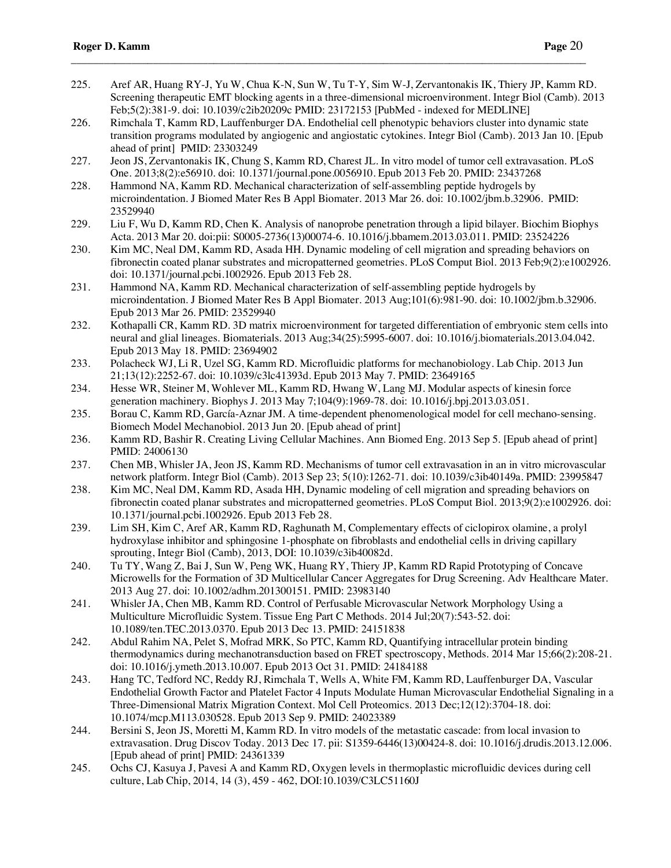225. Aref AR, Huang RY-J, Yu W, Chua K-N, Sun W, Tu T-Y, Sim W-J, Zervantonakis IK, Thiery JP, Kamm RD. Screening therapeutic EMT blocking agents in a three-dimensional microenvironment. Integr Biol (Camb). 2013 Feb;5(2):381-9. doi: 10.1039/c2ib20209c PMID: 23172153 [PubMed - indexed for MEDLINE]

- 226. Rimchala T, Kamm RD, Lauffenburger DA. Endothelial cell phenotypic behaviors cluster into dynamic state transition programs modulated by angiogenic and angiostatic cytokines. Integr Biol (Camb). 2013 Jan 10. [Epub ahead of print] PMID: 23303249
- 227. Jeon JS, Zervantonakis IK, Chung S, Kamm RD, Charest JL. In vitro model of tumor cell extravasation. PLoS One. 2013;8(2):e56910. doi: 10.1371/journal.pone.0056910. Epub 2013 Feb 20. PMID: 23437268
- 228. Hammond NA, Kamm RD. Mechanical characterization of self-assembling peptide hydrogels by microindentation. J Biomed Mater Res B Appl Biomater. 2013 Mar 26. doi: 10.1002/jbm.b.32906. PMID: 23529940
- 229. Liu F, Wu D, Kamm RD, Chen K. Analysis of nanoprobe penetration through a lipid bilayer. Biochim Biophys Acta. 2013 Mar 20. doi:pii: S0005-2736(13)00074-6. 10.1016/j.bbamem.2013.03.011. PMID: 23524226
- 230. Kim MC, Neal DM, Kamm RD, Asada HH. Dynamic modeling of cell migration and spreading behaviors on fibronectin coated planar substrates and micropatterned geometries. PLoS Comput Biol. 2013 Feb;9(2):e1002926. doi: 10.1371/journal.pcbi.1002926. Epub 2013 Feb 28.
- 231. Hammond NA, Kamm RD. Mechanical characterization of self-assembling peptide hydrogels by microindentation. J Biomed Mater Res B Appl Biomater. 2013 Aug;101(6):981-90. doi: 10.1002/jbm.b.32906. Epub 2013 Mar 26. PMID: 23529940
- 232. Kothapalli CR, Kamm RD. 3D matrix microenvironment for targeted differentiation of embryonic stem cells into neural and glial lineages. Biomaterials. 2013 Aug;34(25):5995-6007. doi: 10.1016/j.biomaterials.2013.04.042. Epub 2013 May 18. PMID: 23694902
- 233. Polacheck WJ, Li R, Uzel SG, Kamm RD. Microfluidic platforms for mechanobiology. Lab Chip. 2013 Jun 21;13(12):2252-67. doi: 10.1039/c3lc41393d. Epub 2013 May 7. PMID: 23649165
- 234. Hesse WR, Steiner M, Wohlever ML, Kamm RD, Hwang W, Lang MJ. Modular aspects of kinesin force generation machinery. Biophys J. 2013 May 7;104(9):1969-78. doi: 10.1016/j.bpj.2013.03.051.
- 235. Borau C, Kamm RD, García-Aznar JM. A time-dependent phenomenological model for cell mechano-sensing. Biomech Model Mechanobiol. 2013 Jun 20. [Epub ahead of print]
- 236. Kamm RD, Bashir R. Creating Living Cellular Machines. Ann Biomed Eng. 2013 Sep 5. [Epub ahead of print] PMID: 24006130
- 237. Chen MB, Whisler JA, Jeon JS, Kamm RD. Mechanisms of tumor cell extravasation in an in vitro microvascular network platform. Integr Biol (Camb). 2013 Sep 23; 5(10):1262-71. doi: 10.1039/c3ib40149a. PMID: 23995847
- 238. Kim MC, Neal DM, Kamm RD, Asada HH, Dynamic modeling of cell migration and spreading behaviors on fibronectin coated planar substrates and micropatterned geometries. PLoS Comput Biol. 2013;9(2):e1002926. doi: 10.1371/journal.pcbi.1002926. Epub 2013 Feb 28.
- 239. Lim SH, Kim C, Aref AR, Kamm RD, Raghunath M, Complementary effects of ciclopirox olamine, a prolyl hydroxylase inhibitor and sphingosine 1-phosphate on fibroblasts and endothelial cells in driving capillary sprouting, Integr Biol (Camb), 2013, DOI: 10.1039/c3ib40082d.
- 240. Tu TY, Wang Z, Bai J, Sun W, Peng WK, Huang RY, Thiery JP, Kamm RD Rapid Prototyping of Concave Microwells for the Formation of 3D Multicellular Cancer Aggregates for Drug Screening. Adv Healthcare Mater. 2013 Aug 27. doi: 10.1002/adhm.201300151. PMID: 23983140
- 241. Whisler JA, Chen MB, Kamm RD. Control of Perfusable Microvascular Network Morphology Using a Multiculture Microfluidic System. Tissue Eng Part C Methods. 2014 Jul;20(7):543-52. doi: 10.1089/ten.TEC.2013.0370. Epub 2013 Dec 13. PMID: 24151838
- 242. Abdul Rahim NA, Pelet S, Mofrad MRK, So PTC, Kamm RD, Quantifying intracellular protein binding thermodynamics during mechanotransduction based on FRET spectroscopy, Methods. 2014 Mar 15;66(2):208-21. doi: 10.1016/j.ymeth.2013.10.007. Epub 2013 Oct 31. PMID: 24184188
- 243. Hang TC, Tedford NC, Reddy RJ, Rimchala T, Wells A, White FM, Kamm RD, Lauffenburger DA, Vascular Endothelial Growth Factor and Platelet Factor 4 Inputs Modulate Human Microvascular Endothelial Signaling in a Three-Dimensional Matrix Migration Context. Mol Cell Proteomics. 2013 Dec;12(12):3704-18. doi: 10.1074/mcp.M113.030528. Epub 2013 Sep 9. PMID: 24023389
- 244. Bersini S, Jeon JS, Moretti M, Kamm RD. In vitro models of the metastatic cascade: from local invasion to extravasation. Drug Discov Today. 2013 Dec 17. pii: S1359-6446(13)00424-8. doi: 10.1016/j.drudis.2013.12.006. [Epub ahead of print] PMID: 24361339
- 245. Ochs CJ, Kasuya J, Pavesi A and Kamm RD, Oxygen levels in thermoplastic microfluidic devices during cell culture, Lab Chip, 2014, 14 (3), 459 - 462, DOI:10.1039/C3LC51160J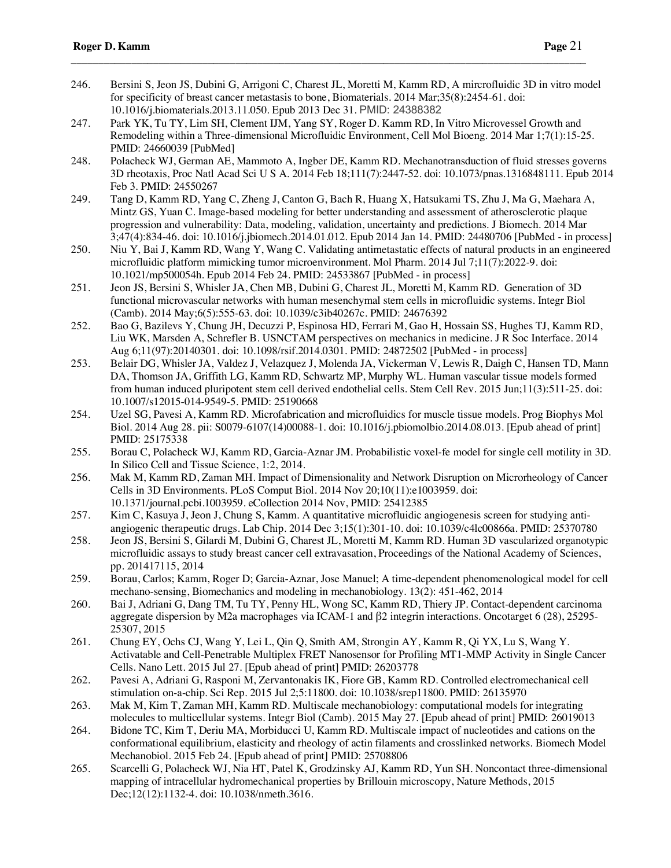246. Bersini S, Jeon JS, Dubini G, Arrigoni C, Charest JL, Moretti M, Kamm RD, A mircrofluidic 3D in vitro model for specificity of breast cancer metastasis to bone, Biomaterials. 2014 Mar;35(8):2454-61. doi: 10.1016/j.biomaterials.2013.11.050. Epub 2013 Dec 31. PMID: 24388382

- 247. Park YK, Tu TY, Lim SH, Clement IJM, Yang SY, Roger D. Kamm RD, In Vitro Microvessel Growth and Remodeling within a Three-dimensional Microfluidic Environment, Cell Mol Bioeng. 2014 Mar 1;7(1):15-25. PMID: 24660039 [PubMed]
- 248. Polacheck WJ, German AE, Mammoto A, Ingber DE, Kamm RD. Mechanotransduction of fluid stresses governs 3D rheotaxis, Proc Natl Acad Sci U S A. 2014 Feb 18;111(7):2447-52. doi: 10.1073/pnas.1316848111. Epub 2014 Feb 3. PMID: 24550267
- 249. Tang D, Kamm RD, Yang C, Zheng J, Canton G, Bach R, Huang X, Hatsukami TS, Zhu J, Ma G, Maehara A, Mintz GS, Yuan C. Image-based modeling for better understanding and assessment of atherosclerotic plaque progression and vulnerability: Data, modeling, validation, uncertainty and predictions. J Biomech. 2014 Mar 3;47(4):834-46. doi: 10.1016/j.jbiomech.2014.01.012. Epub 2014 Jan 14. PMID: 24480706 [PubMed - in process]
- 250. Niu Y, Bai J, Kamm RD, Wang Y, Wang C. Validating antimetastatic effects of natural products in an engineered microfluidic platform mimicking tumor microenvironment. Mol Pharm. 2014 Jul 7;11(7):2022-9. doi: 10.1021/mp500054h. Epub 2014 Feb 24. PMID: 24533867 [PubMed - in process]
- 251. Jeon JS, Bersini S, Whisler JA, Chen MB, Dubini G, Charest JL, Moretti M, Kamm RD. Generation of 3D functional microvascular networks with human mesenchymal stem cells in microfluidic systems. Integr Biol (Camb). 2014 May;6(5):555-63. doi: 10.1039/c3ib40267c. PMID: 24676392
- 252. Bao G, Bazilevs Y, Chung JH, Decuzzi P, Espinosa HD, Ferrari M, Gao H, Hossain SS, Hughes TJ, Kamm RD, Liu WK, Marsden A, Schrefler B. USNCTAM perspectives on mechanics in medicine. J R Soc Interface. 2014 Aug 6;11(97):20140301. doi: 10.1098/rsif.2014.0301. PMID: 24872502 [PubMed - in process]
- 253. Belair DG, Whisler JA, Valdez J, Velazquez J, Molenda JA, Vickerman V, Lewis R, Daigh C, Hansen TD, Mann DA, Thomson JA, Griffith LG, Kamm RD, Schwartz MP, Murphy WL. Human vascular tissue models formed from human induced pluripotent stem cell derived endothelial cells. Stem Cell Rev. 2015 Jun;11(3):511-25. doi: 10.1007/s12015-014-9549-5. PMID: 25190668
- 254. Uzel SG, Pavesi A, Kamm RD. Microfabrication and microfluidics for muscle tissue models. Prog Biophys Mol Biol. 2014 Aug 28. pii: S0079-6107(14)00088-1. doi: 10.1016/j.pbiomolbio.2014.08.013. [Epub ahead of print] PMID: 25175338
- 255. Borau C, Polacheck WJ, Kamm RD, Garcia-Aznar JM. Probabilistic voxel-fe model for single cell motility in 3D. In Silico Cell and Tissue Science, 1:2, 2014.
- 256. Mak M, Kamm RD, Zaman MH. Impact of Dimensionality and Network Disruption on Microrheology of Cancer Cells in 3D Environments. PLoS Comput Biol. 2014 Nov 20;10(11):e1003959. doi: 10.1371/journal.pcbi.1003959. eCollection 2014 Nov, PMID: 25412385
- 257. Kim C, Kasuya J, Jeon J, Chung S, Kamm. A quantitative microfluidic angiogenesis screen for studying antiangiogenic therapeutic drugs. Lab Chip. 2014 Dec 3;15(1):301-10. doi: 10.1039/c4lc00866a. PMID: 25370780
- 258. Jeon JS, Bersini S, Gilardi M, Dubini G, Charest JL, Moretti M, Kamm RD. Human 3D vascularized organotypic microfluidic assays to study breast cancer cell extravasation, Proceedings of the National Academy of Sciences, pp. 201417115, 2014
- 259. Borau, Carlos; Kamm, Roger D; Garcia-Aznar, Jose Manuel; A time-dependent phenomenological model for cell mechano-sensing, Biomechanics and modeling in mechanobiology. 13(2): 451-462, 2014
- 260. Bai J, Adriani G, Dang TM, Tu TY, Penny HL, Wong SC, Kamm RD, Thiery JP. Contact-dependent carcinoma aggregate dispersion by M2a macrophages via ICAM-1 and β2 integrin interactions. Oncotarget 6 (28), 25295- 25307, 2015
- 261. Chung EY, Ochs CJ, Wang Y, Lei L, Qin Q, Smith AM, Strongin AY, Kamm R, Qi YX, Lu S, Wang Y. Activatable and Cell-Penetrable Multiplex FRET Nanosensor for Profiling MT1-MMP Activity in Single Cancer Cells. Nano Lett. 2015 Jul 27. [Epub ahead of print] PMID: 26203778
- 262. Pavesi A, Adriani G, Rasponi M, Zervantonakis IK, Fiore GB, Kamm RD. Controlled electromechanical cell stimulation on-a-chip. Sci Rep. 2015 Jul 2;5:11800. doi: 10.1038/srep11800. PMID: 26135970
- 263. Mak M, Kim T, Zaman MH, Kamm RD. Multiscale mechanobiology: computational models for integrating molecules to multicellular systems. Integr Biol (Camb). 2015 May 27. [Epub ahead of print] PMID: 26019013
- 264. Bidone TC, Kim T, Deriu MA, Morbiducci U, Kamm RD. Multiscale impact of nucleotides and cations on the conformational equilibrium, elasticity and rheology of actin filaments and crosslinked networks. Biomech Model Mechanobiol. 2015 Feb 24. [Epub ahead of print] PMID: 25708806
- 265. Scarcelli G, Polacheck WJ, Nia HT, Patel K, Grodzinsky AJ, Kamm RD, Yun SH. Noncontact three-dimensional mapping of intracellular hydromechanical properties by Brillouin microscopy, Nature Methods, 2015 Dec;12(12):1132-4. doi: 10.1038/nmeth.3616.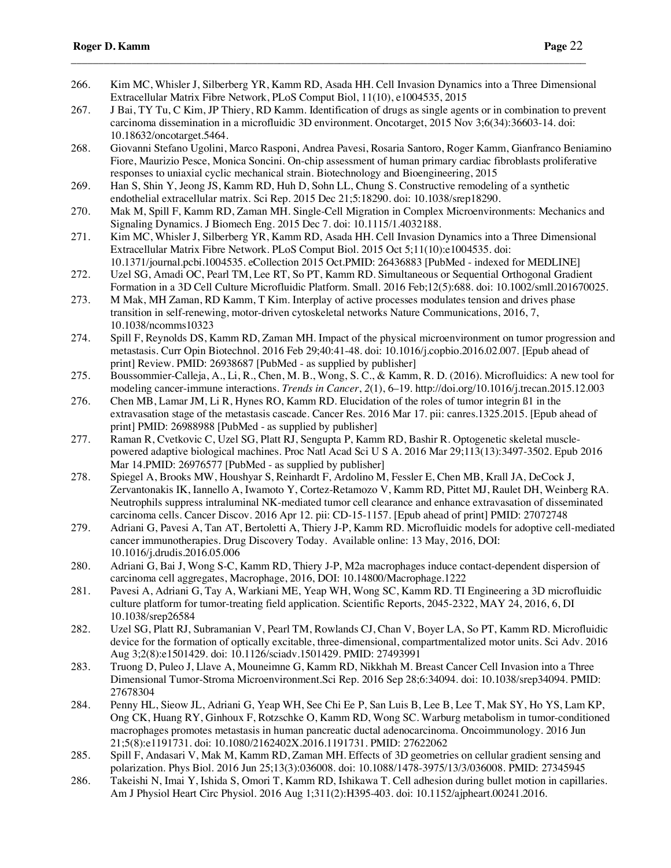266. Kim MC, Whisler J, Silberberg YR, Kamm RD, Asada HH. Cell Invasion Dynamics into a Three Dimensional Extracellular Matrix Fibre Network, PLoS Comput Biol, 11(10), e1004535, 2015

- 267. J Bai, TY Tu, C Kim, JP Thiery, RD Kamm. Identification of drugs as single agents or in combination to prevent carcinoma dissemination in a microfluidic 3D environment. Oncotarget, 2015 Nov 3;6(34):36603-14. doi: 10.18632/oncotarget.5464.
- 268. Giovanni Stefano Ugolini, Marco Rasponi, Andrea Pavesi, Rosaria Santoro, Roger Kamm, Gianfranco Beniamino Fiore, Maurizio Pesce, Monica Soncini. On-chip assessment of human primary cardiac fibroblasts proliferative responses to uniaxial cyclic mechanical strain. Biotechnology and Bioengineering, 2015
- 269. Han S, Shin Y, Jeong JS, Kamm RD, Huh D, Sohn LL, Chung S. Constructive remodeling of a synthetic endothelial extracellular matrix. Sci Rep. 2015 Dec 21;5:18290. doi: 10.1038/srep18290.
- 270. Mak M, Spill F, Kamm RD, Zaman MH. Single-Cell Migration in Complex Microenvironments: Mechanics and Signaling Dynamics. J Biomech Eng. 2015 Dec 7. doi: 10.1115/1.4032188.
- 271. Kim MC, Whisler J, Silberberg YR, Kamm RD, Asada HH. Cell Invasion Dynamics into a Three Dimensional Extracellular Matrix Fibre Network. PLoS Comput Biol. 2015 Oct 5;11(10):e1004535. doi: 10.1371/journal.pcbi.1004535. eCollection 2015 Oct.PMID: 26436883 [PubMed - indexed for MEDLINE]
- 272. Uzel SG, Amadi OC, Pearl TM, Lee RT, So PT, Kamm RD. Simultaneous or Sequential Orthogonal Gradient Formation in a 3D Cell Culture Microfluidic Platform. Small. 2016 Feb;12(5):688. doi: 10.1002/smll.201670025.
- 273. M Mak, MH Zaman, RD Kamm, T Kim. Interplay of active processes modulates tension and drives phase transition in self-renewing, motor-driven cytoskeletal networks Nature Communications, 2016, 7, 10.1038/ncomms10323
- 274. Spill F, Reynolds DS, Kamm RD, Zaman MH. Impact of the physical microenvironment on tumor progression and metastasis. Curr Opin Biotechnol. 2016 Feb 29;40:41-48. doi: 10.1016/j.copbio.2016.02.007. [Epub ahead of print] Review. PMID: 26938687 [PubMed - as supplied by publisher]
- 275. Boussommier-Calleja, A., Li, R., Chen, M. B., Wong, S. C., & Kamm, R. D. (2016). Microfluidics: A new tool for modeling cancer-immune interactions. *Trends in Cancer*, *2*(1), 6–19. http://doi.org/10.1016/j.trecan.2015.12.003
- 276. Chen MB, Lamar JM, Li R, Hynes RO, Kamm RD. Elucidation of the roles of tumor integrin ß1 in the extravasation stage of the metastasis cascade. Cancer Res. 2016 Mar 17. pii: canres.1325.2015. [Epub ahead of print] PMID: 26988988 [PubMed - as supplied by publisher]
- 277. Raman R, Cvetkovic C, Uzel SG, Platt RJ, Sengupta P, Kamm RD, Bashir R. Optogenetic skeletal musclepowered adaptive biological machines. Proc Natl Acad Sci U S A. 2016 Mar 29;113(13):3497-3502. Epub 2016 Mar 14.PMID: 26976577 [PubMed - as supplied by publisher]
- 278. Spiegel A, Brooks MW, Houshyar S, Reinhardt F, Ardolino M, Fessler E, Chen MB, Krall JA, DeCock J, Zervantonakis IK, Iannello A, Iwamoto Y, Cortez-Retamozo V, Kamm RD, Pittet MJ, Raulet DH, Weinberg RA. Neutrophils suppress intraluminal NK-mediated tumor cell clearance and enhance extravasation of disseminated carcinoma cells. Cancer Discov. 2016 Apr 12. pii: CD-15-1157. [Epub ahead of print] PMID: 27072748
- 279. Adriani G, Pavesi A, Tan AT, Bertoletti A, Thiery J-P, Kamm RD. Microfluidic models for adoptive cell-mediated cancer immunotherapies. Drug Discovery Today. Available online: 13 May, 2016, DOI: 10.1016/j.drudis.2016.05.006
- 280. Adriani G, Bai J, Wong S-C, Kamm RD, Thiery J-P, M2a macrophages induce contact-dependent dispersion of carcinoma cell aggregates, Macrophage, 2016, DOI: 10.14800/Macrophage.1222
- 281. Pavesi A, Adriani G, Tay A, Warkiani ME, Yeap WH, Wong SC, Kamm RD. TI Engineering a 3D microfluidic culture platform for tumor-treating field application. Scientific Reports, 2045-2322, MAY 24, 2016, 6, DI 10.1038/srep26584
- 282. Uzel SG, Platt RJ, Subramanian V, Pearl TM, Rowlands CJ, Chan V, Boyer LA, So PT, Kamm RD. Microfluidic device for the formation of optically excitable, three-dimensional, compartmentalized motor units. Sci Adv. 2016 Aug 3;2(8):e1501429. doi: 10.1126/sciadv.1501429. PMID: 27493991
- 283. Truong D, Puleo J, Llave A, Mouneimne G, Kamm RD, Nikkhah M. Breast Cancer Cell Invasion into a Three Dimensional Tumor-Stroma Microenvironment.Sci Rep. 2016 Sep 28;6:34094. doi: 10.1038/srep34094. PMID: 27678304
- 284. Penny HL, Sieow JL, Adriani G, Yeap WH, See Chi Ee P, San Luis B, Lee B, Lee T, Mak SY, Ho YS, Lam KP, Ong CK, Huang RY, Ginhoux F, Rotzschke O, Kamm RD, Wong SC. Warburg metabolism in tumor-conditioned macrophages promotes metastasis in human pancreatic ductal adenocarcinoma. Oncoimmunology. 2016 Jun 21;5(8):e1191731. doi: 10.1080/2162402X.2016.1191731. PMID: 27622062
- 285. Spill F, Andasari V, Mak M, Kamm RD, Zaman MH. Effects of 3D geometries on cellular gradient sensing and polarization. Phys Biol. 2016 Jun 25;13(3):036008. doi: 10.1088/1478-3975/13/3/036008. PMID: 27345945
- 286. Takeishi N, Imai Y, Ishida S, Omori T, Kamm RD, Ishikawa T. Cell adhesion during bullet motion in capillaries. Am J Physiol Heart Circ Physiol. 2016 Aug 1;311(2):H395-403. doi: 10.1152/ajpheart.00241.2016.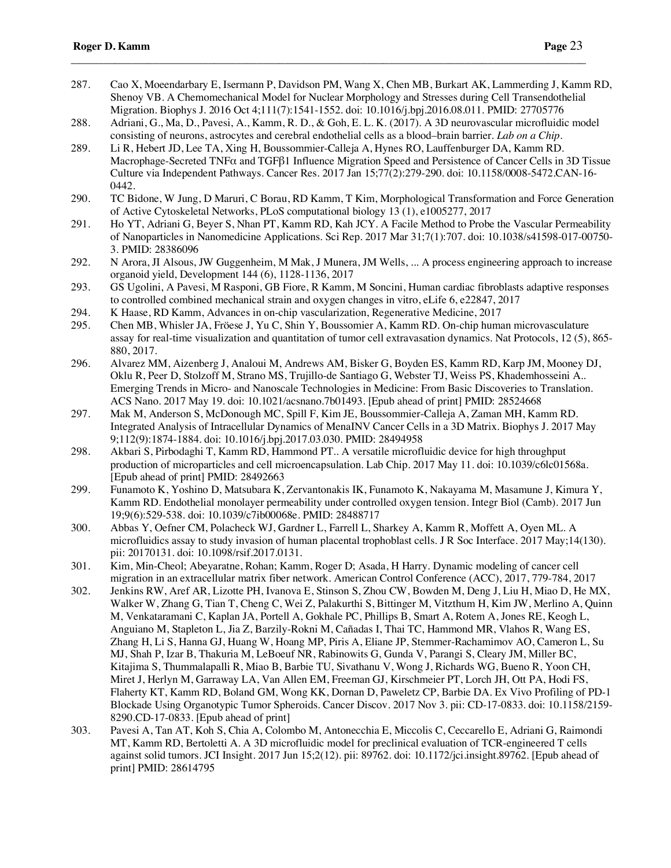- 287. Cao X, Moeendarbary E, Isermann P, Davidson PM, Wang X, Chen MB, Burkart AK, Lammerding J, Kamm RD, Shenoy VB. A Chemomechanical Model for Nuclear Morphology and Stresses during Cell Transendothelial Migration. Biophys J. 2016 Oct 4;111(7):1541-1552. doi: 10.1016/j.bpj.2016.08.011. PMID: 27705776
- 288. Adriani, G., Ma, D., Pavesi, A., Kamm, R. D., & Goh, E. L. K. (2017). A 3D neurovascular microfluidic model consisting of neurons, astrocytes and cerebral endothelial cells as a blood–brain barrier. *Lab on a Chip*.

- 289. Li R, Hebert JD, Lee TA, Xing H, Boussommier-Calleja A, Hynes RO, Lauffenburger DA, Kamm RD. Macrophage-Secreted TNFα and TGFβ1 Influence Migration Speed and Persistence of Cancer Cells in 3D Tissue Culture via Independent Pathways. Cancer Res. 2017 Jan 15;77(2):279-290. doi: 10.1158/0008-5472.CAN-16- 0442.
- 290. TC Bidone, W Jung, D Maruri, C Borau, RD Kamm, T Kim, Morphological Transformation and Force Generation of Active Cytoskeletal Networks, PLoS computational biology 13 (1), e1005277, 2017
- 291. Ho YT, Adriani G, Beyer S, Nhan PT, Kamm RD, Kah JCY. A Facile Method to Probe the Vascular Permeability of Nanoparticles in Nanomedicine Applications. Sci Rep. 2017 Mar 31;7(1):707. doi: 10.1038/s41598-017-00750- 3. PMID: 28386096
- 292. N Arora, JI Alsous, JW Guggenheim, M Mak, J Munera, JM Wells, ... A process engineering approach to increase organoid yield, Development 144 (6), 1128-1136, 2017
- 293. GS Ugolini, A Pavesi, M Rasponi, GB Fiore, R Kamm, M Soncini, Human cardiac fibroblasts adaptive responses to controlled combined mechanical strain and oxygen changes in vitro, eLife 6, e22847, 2017
- 294. K Haase, RD Kamm, Advances in on-chip vascularization, Regenerative Medicine, 2017
- 295. Chen MB, Whisler JA, Fröese J, Yu C, Shin Y, Boussomier A, Kamm RD. On-chip human microvasculature assay for real-time visualization and quantitation of tumor cell extravasation dynamics. Nat Protocols, 12 (5), 865- 880, 2017.
- 296. Alvarez MM, Aizenberg J, Analoui M, Andrews AM, Bisker G, Boyden ES, Kamm RD, Karp JM, Mooney DJ, Oklu R, Peer D, Stolzoff M, Strano MS, Trujillo-de Santiago G, Webster TJ, Weiss PS, Khademhosseini A.. Emerging Trends in Micro- and Nanoscale Technologies in Medicine: From Basic Discoveries to Translation. ACS Nano. 2017 May 19. doi: 10.1021/acsnano.7b01493. [Epub ahead of print] PMID: 28524668
- 297. Mak M, Anderson S, McDonough MC, Spill F, Kim JE, Boussommier-Calleja A, Zaman MH, Kamm RD. Integrated Analysis of Intracellular Dynamics of MenaINV Cancer Cells in a 3D Matrix. Biophys J. 2017 May 9;112(9):1874-1884. doi: 10.1016/j.bpj.2017.03.030. PMID: 28494958
- 298. Akbari S, Pirbodaghi T, Kamm RD, Hammond PT.. A versatile microfluidic device for high throughput production of microparticles and cell microencapsulation. Lab Chip. 2017 May 11. doi: 10.1039/c6lc01568a. [Epub ahead of print] PMID: 28492663
- 299. Funamoto K, Yoshino D, Matsubara K, Zervantonakis IK, Funamoto K, Nakayama M, Masamune J, Kimura Y, Kamm RD. Endothelial monolayer permeability under controlled oxygen tension. Integr Biol (Camb). 2017 Jun 19;9(6):529-538. doi: 10.1039/c7ib00068e. PMID: 28488717
- 300. Abbas Y, Oefner CM, Polacheck WJ, Gardner L, Farrell L, Sharkey A, Kamm R, Moffett A, Oyen ML. A microfluidics assay to study invasion of human placental trophoblast cells. J R Soc Interface. 2017 May;14(130). pii: 20170131. doi: 10.1098/rsif.2017.0131.
- 301. Kim, Min-Cheol; Abeyaratne, Rohan; Kamm, Roger D; Asada, H Harry. Dynamic modeling of cancer cell migration in an extracellular matrix fiber network. American Control Conference (ACC), 2017, 779-784, 2017
- 302. Jenkins RW, Aref AR, Lizotte PH, Ivanova E, Stinson S, Zhou CW, Bowden M, Deng J, Liu H, Miao D, He MX, Walker W, Zhang G, Tian T, Cheng C, Wei Z, Palakurthi S, Bittinger M, Vitzthum H, Kim JW, Merlino A, Quinn M, Venkataramani C, Kaplan JA, Portell A, Gokhale PC, Phillips B, Smart A, Rotem A, Jones RE, Keogh L, Anguiano M, Stapleton L, Jia Z, Barzily-Rokni M, Cañadas I, Thai TC, Hammond MR, Vlahos R, Wang ES, Zhang H, Li S, Hanna GJ, Huang W, Hoang MP, Piris A, Eliane JP, Stemmer-Rachamimov AO, Cameron L, Su MJ, Shah P, Izar B, Thakuria M, LeBoeuf NR, Rabinowits G, Gunda V, Parangi S, Cleary JM, Miller BC, Kitajima S, Thummalapalli R, Miao B, Barbie TU, Sivathanu V, Wong J, Richards WG, Bueno R, Yoon CH, Miret J, Herlyn M, Garraway LA, Van Allen EM, Freeman GJ, Kirschmeier PT, Lorch JH, Ott PA, Hodi FS, Flaherty KT, Kamm RD, Boland GM, Wong KK, Dornan D, Paweletz CP, Barbie DA. Ex Vivo Profiling of PD-1 Blockade Using Organotypic Tumor Spheroids. Cancer Discov. 2017 Nov 3. pii: CD-17-0833. doi: 10.1158/2159- 8290.CD-17-0833. [Epub ahead of print]
- 303. Pavesi A, Tan AT, Koh S, Chia A, Colombo M, Antonecchia E, Miccolis C, Ceccarello E, Adriani G, Raimondi MT, Kamm RD, Bertoletti A. A 3D microfluidic model for preclinical evaluation of TCR-engineered T cells against solid tumors. JCI Insight. 2017 Jun 15;2(12). pii: 89762. doi: 10.1172/jci.insight.89762. [Epub ahead of print] PMID: 28614795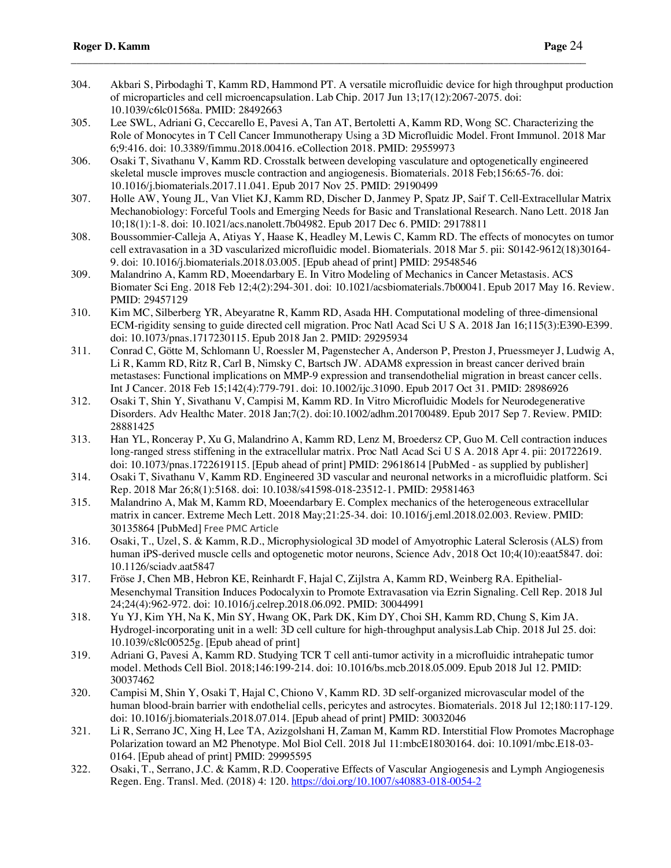304. Akbari S, Pirbodaghi T, Kamm RD, Hammond PT. A versatile microfluidic device for high throughput production of microparticles and cell microencapsulation. Lab Chip. 2017 Jun 13;17(12):2067-2075. doi: 10.1039/c6lc01568a. PMID: 28492663

- 305. Lee SWL, Adriani G, Ceccarello E, Pavesi A, Tan AT, Bertoletti A, Kamm RD, Wong SC. Characterizing the Role of Monocytes in T Cell Cancer Immunotherapy Using a 3D Microfluidic Model. Front Immunol. 2018 Mar 6;9:416. doi: 10.3389/fimmu.2018.00416. eCollection 2018. PMID: 29559973
- 306. Osaki T, Sivathanu V, Kamm RD. Crosstalk between developing vasculature and optogenetically engineered skeletal muscle improves muscle contraction and angiogenesis. Biomaterials. 2018 Feb;156:65-76. doi: 10.1016/j.biomaterials.2017.11.041. Epub 2017 Nov 25. PMID: 29190499
- 307. Holle AW, Young JL, Van Vliet KJ, Kamm RD, Discher D, Janmey P, Spatz JP, Saif T. Cell-Extracellular Matrix Mechanobiology: Forceful Tools and Emerging Needs for Basic and Translational Research. Nano Lett. 2018 Jan 10;18(1):1-8. doi: 10.1021/acs.nanolett.7b04982. Epub 2017 Dec 6. PMID: 29178811
- 308. Boussommier-Calleja A, Atiyas Y, Haase K, Headley M, Lewis C, Kamm RD. The effects of monocytes on tumor cell extravasation in a 3D vascularized microfluidic model. Biomaterials. 2018 Mar 5. pii: S0142-9612(18)30164- 9. doi: 10.1016/j.biomaterials.2018.03.005. [Epub ahead of print] PMID: 29548546
- 309. Malandrino A, Kamm RD, Moeendarbary E. In Vitro Modeling of Mechanics in Cancer Metastasis. ACS Biomater Sci Eng. 2018 Feb 12;4(2):294-301. doi: 10.1021/acsbiomaterials.7b00041. Epub 2017 May 16. Review. PMID: 29457129
- 310. Kim MC, Silberberg YR, Abeyaratne R, Kamm RD, Asada HH. Computational modeling of three-dimensional ECM-rigidity sensing to guide directed cell migration. Proc Natl Acad Sci U S A. 2018 Jan 16;115(3):E390-E399. doi: 10.1073/pnas.1717230115. Epub 2018 Jan 2. PMID: 29295934
- 311. Conrad C, Götte M, Schlomann U, Roessler M, Pagenstecher A, Anderson P, Preston J, Pruessmeyer J, Ludwig A, Li R, Kamm RD, Ritz R, Carl B, Nimsky C, Bartsch JW. ADAM8 expression in breast cancer derived brain metastases: Functional implications on MMP-9 expression and transendothelial migration in breast cancer cells. Int J Cancer. 2018 Feb 15;142(4):779-791. doi: 10.1002/ijc.31090. Epub 2017 Oct 31. PMID: 28986926
- 312. Osaki T, Shin Y, Sivathanu V, Campisi M, Kamm RD. In Vitro Microfluidic Models for Neurodegenerative Disorders. Adv Healthc Mater. 2018 Jan;7(2). doi:10.1002/adhm.201700489. Epub 2017 Sep 7. Review. PMID: 28881425
- 313. Han YL, Ronceray P, Xu G, Malandrino A, Kamm RD, Lenz M, Broedersz CP, Guo M. Cell contraction induces long-ranged stress stiffening in the extracellular matrix. Proc Natl Acad Sci U S A. 2018 Apr 4. pii: 201722619. doi: 10.1073/pnas.1722619115. [Epub ahead of print] PMID: 29618614 [PubMed - as supplied by publisher]
- 314. Osaki T, Sivathanu V, Kamm RD. Engineered 3D vascular and neuronal networks in a microfluidic platform. Sci Rep. 2018 Mar 26;8(1):5168. doi: 10.1038/s41598-018-23512-1. PMID: 29581463
- 315. Malandrino A, Mak M, Kamm RD, Moeendarbary E. Complex mechanics of the heterogeneous extracellular matrix in cancer. Extreme Mech Lett. 2018 May;21:25-34. doi: 10.1016/j.eml.2018.02.003. Review. PMID: 30135864 [PubMed] Free PMC Article
- 316. Osaki, T., Uzel, S. & Kamm, R.D., Microphysiological 3D model of Amyotrophic Lateral Sclerosis (ALS) from human iPS-derived muscle cells and optogenetic motor neurons, Science Adv, 2018 Oct 10;4(10):eaat5847. doi: 10.1126/sciadv.aat5847
- 317. Fröse J, Chen MB, Hebron KE, Reinhardt F, Hajal C, Zijlstra A, Kamm RD, Weinberg RA. Epithelial-Mesenchymal Transition Induces Podocalyxin to Promote Extravasation via Ezrin Signaling. Cell Rep. 2018 Jul 24;24(4):962-972. doi: 10.1016/j.celrep.2018.06.092. PMID: 30044991
- 318. Yu YJ, Kim YH, Na K, Min SY, Hwang OK, Park DK, Kim DY, Choi SH, Kamm RD, Chung S, Kim JA. Hydrogel-incorporating unit in a well: 3D cell culture for high-throughput analysis.Lab Chip. 2018 Jul 25. doi: 10.1039/c8lc00525g. [Epub ahead of print]
- 319. Adriani G, Pavesi A, Kamm RD. Studying TCR T cell anti-tumor activity in a microfluidic intrahepatic tumor model. Methods Cell Biol. 2018;146:199-214. doi: 10.1016/bs.mcb.2018.05.009. Epub 2018 Jul 12. PMID: 30037462
- 320. Campisi M, Shin Y, Osaki T, Hajal C, Chiono V, Kamm RD. 3D self-organized microvascular model of the human blood-brain barrier with endothelial cells, pericytes and astrocytes. Biomaterials. 2018 Jul 12;180:117-129. doi: 10.1016/j.biomaterials.2018.07.014. [Epub ahead of print] PMID: 30032046
- 321. Li R, Serrano JC, Xing H, Lee TA, Azizgolshani H, Zaman M, Kamm RD. Interstitial Flow Promotes Macrophage Polarization toward an M2 Phenotype. Mol Biol Cell. 2018 Jul 11:mbcE18030164. doi: 10.1091/mbc.E18-03- 0164. [Epub ahead of print] PMID: 29995595
- 322. Osaki, T., Serrano, J.C. & Kamm, R.D. Cooperative Effects of Vascular Angiogenesis and Lymph Angiogenesis Regen. Eng. Transl. Med. (2018) 4: 120. https://doi.org/10.1007/s40883-018-0054-2